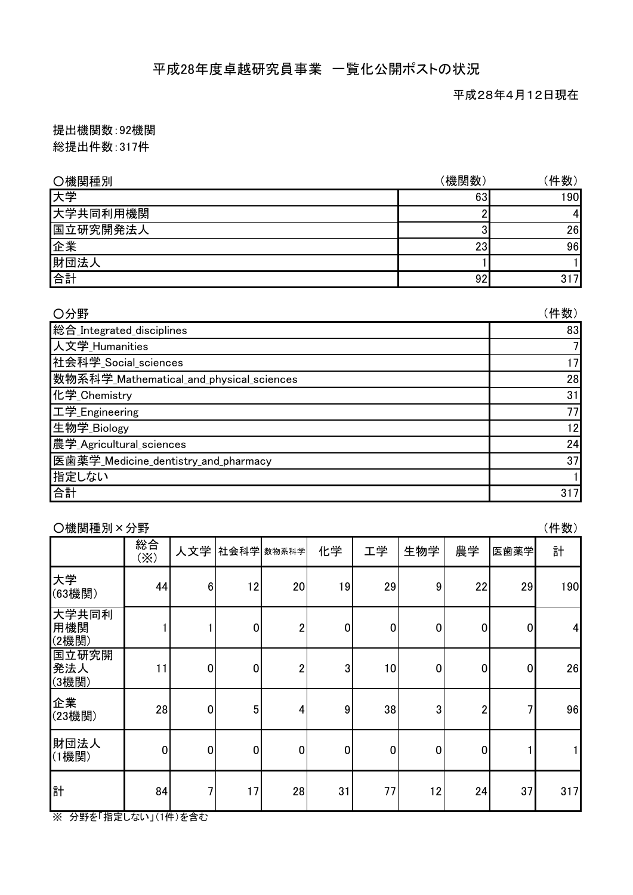## 平成28年度卓越研究員事業 一覧化公開ポストの状況

平成28年4月12日現在

提出機関数:92機関 総提出件数:317件

| ○機関種別    | (機関数) | 件数) |
|----------|-------|-----|
| 大学       | 63    | 190 |
| 大学共同利用機関 |       | 41  |
| 国立研究開発法人 | P     | 26  |
| 企業       | 23    | 96  |
| 財団法人     |       |     |
| 合計       | 92    | 317 |

| ○分野                                      | (件数) |
|------------------------------------------|------|
| 総合_Integrated_disciplines                | 83   |
| 人文学_Humanities                           | 7    |
| 社会科学_Social_sciences                     | 17   |
| 数物系科学_Mathematical_and_physical_sciences | 28   |
| 化学_Chemistry                             | 31   |
| 工学_Engineering                           | 77   |
| 生物学_Biology                              | 12   |
| 農学_Agricultural_sciences                 | 24   |
| 医歯薬学_Medicine_dentistry_and_pharmacy     | 37   |
| 指定しない                                    |      |
| 合計                                       | 317  |

| (件数)<br>O機関種別×分野      |                  |                |                 |                |                  |           |             |                  |             |                         |
|-----------------------|------------------|----------------|-----------------|----------------|------------------|-----------|-------------|------------------|-------------|-------------------------|
|                       | 総合<br>$(\times)$ | 人文学            | 社会科学 数物系科学      |                | 化学               | 工学        | 生物学         | 農学               | 医歯薬学        | 計                       |
| 大学<br>(63機関)          | 44               | $6\phantom{1}$ | 12              | 20             | 19               | 29        | 9           | 22               | 29          | 190                     |
| 大学共同利<br>用機関<br>(2機関) |                  |                | $\mathbf 0$     | $\overline{2}$ | $\boldsymbol{0}$ | $\pmb{0}$ | $\mathbf 0$ | 0                | $\mathbf 0$ | $\overline{\mathbf{4}}$ |
| 国立研究開<br>発法人<br>(3機関) | 11               | $\pmb{0}$      | $\mathbf 0$     | 2              | 3                | 10        | $\pmb{0}$   | $\boldsymbol{0}$ | $\mathbf 0$ | 26                      |
| 企業<br>(23機関)          | 28               | $\mathbf 0$    | $5\phantom{.0}$ | 4              | 9                | 38        | 3           | $\overline{2}$   | 7           | 96                      |
| 財団法人<br>(1機関)         | $\pmb{0}$        | $\mathbf 0$    | $\pmb{0}$       | $\mathbf 0$    | $\overline{0}$   | $\pmb{0}$ | $\pmb{0}$   | $\overline{0}$   |             | 1                       |
| 計                     | 84               | 7              | 17              | 28             | 31               | 77        | 12          | 24               | 37          | 317                     |

※ 分野を「指定しない」(1件)を含む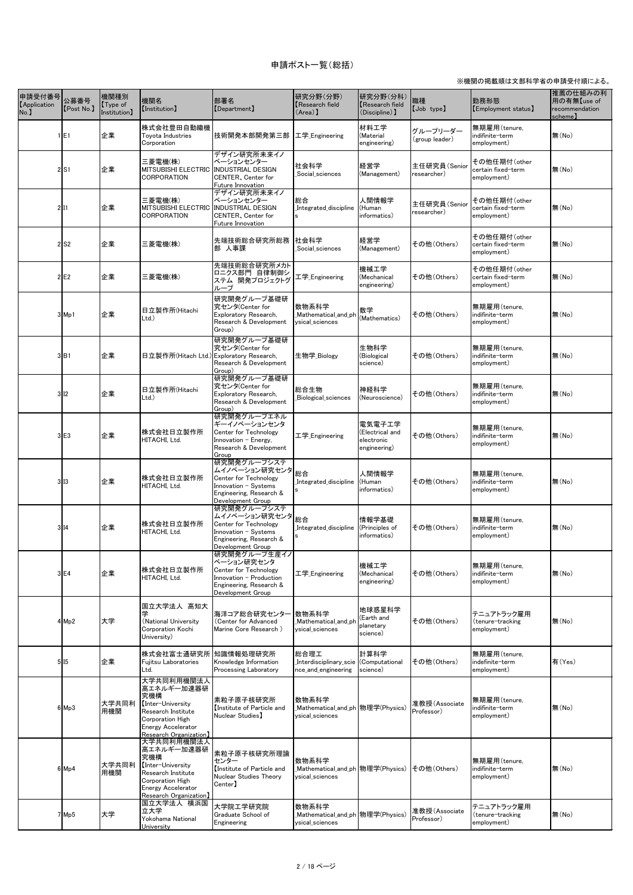| 申請受付番号 公募番号<br><b>[Application</b><br>No. | [Post No.]         | 機関種別<br>[Type of]<br>Institution) | 機関名<br>[Institution]                                                                                                                                          | 部署名<br>[Department]                                                                                                                                                     | 研究分野(分野)<br><b>Research field</b><br>$(Area)$ ]                      | 研究分野(分科)<br>Research field<br>(Discipline) ]            | 職種<br>[Job type]            | 勤務形態<br>[Employment status]                       | 推薦の仕組みの利<br>用の有無【use of<br>recommendation<br>scheme) |
|-------------------------------------------|--------------------|-----------------------------------|---------------------------------------------------------------------------------------------------------------------------------------------------------------|-------------------------------------------------------------------------------------------------------------------------------------------------------------------------|----------------------------------------------------------------------|---------------------------------------------------------|-----------------------------|---------------------------------------------------|------------------------------------------------------|
|                                           | E <sub>1</sub>     | 企業                                | 株式会社豊田自動織機<br>Toyota Industries<br>Corporation                                                                                                                | 技術開発本部開発第三部                                                                                                                                                             | 工学_Engineering                                                       | 材料工学<br>(Material<br>engineering)                       | グループリーダー<br>(group leader)  | 無期雇用(tenure,<br>indifinite-term<br>employment)    | 無(No)                                                |
|                                           | 2 S1               | 企業                                | 三菱電機(株)<br>MITSUBISHI ELECTRIC INDUSTRIAL DESIGN<br>CORPORATION                                                                                               | デザイン研究所未来イノ<br> ベーションセンター<br>CENTER, Center for<br>Future Innovation                                                                                                    | 社会科学<br>Social_sciences_                                             | 経営学<br>(Management)                                     | 主任研究員(Senior<br>researcher) | その他任期付(other<br>certain fixed-term<br>employment) | 無(No)                                                |
|                                           | 2 11               | 企業                                | 三菱電機(株)<br>MITSUBISHI ELECTRIC INDUSTRIAL DESIGN<br><b>CORPORATION</b>                                                                                        | デザイン研究所未来イノ<br> ベーションセンター<br><b>CENTER, Center for</b><br><b>Future Innovation</b>                                                                                      | 総合<br>Integrated discipline<br><b>S</b>                              | 人間情報学<br>(Human<br>informatics)                         | 主任研究員(Senior<br>researcher) | その他任期付(other<br>certain fixed-term<br>employment) | 無(No)                                                |
|                                           | $2$ S <sub>2</sub> | 企業                                | 三菱電機(株)                                                                                                                                                       | 先端技術総合研究所総務<br>部 人事課                                                                                                                                                    | 社会科学<br>Social_sciences                                              | 経営学<br>(Management)                                     | その他(Others)                 | その他任期付(other<br>certain fixed-term<br>employment) | 無(No)                                                |
|                                           | lE <sub>2</sub>    | 企業                                | 三菱電機(株)                                                                                                                                                       | 先端技術総合研究所メカト<br>ロニクス部門 自律制御シ<br>ステム 開発プロジェクトグ<br>ループ                                                                                                                    | 工学 Engineering                                                       | 機械工学<br>(Mechanical<br>engineering)                     | その他(Others)                 | その他任期付(other<br>certain fixed-term<br>employment) | 無(No)                                                |
|                                           | $3$ Mp1            | 企業                                | 日立製作所(Hitachi<br>Ltd.)                                                                                                                                        | 研究開発グループ基礎研<br>究センタ(Center for<br>Exploratory Research,<br>Research & Development<br>Group)                                                                             | 数物系科学<br>Mathematical_and_ph<br>ysical_sciences                      | 数学<br>(Mathematics)                                     | その他(Others)                 | 無期雇用(tenure,<br>indifinite-term<br>employment)    | 無(No)                                                |
|                                           | 3 B1               | 企業                                | 日立製作所(Hitach Ltd.) Exploratory Research,                                                                                                                      | 研究開発グループ基礎研<br>究センタ(Center for<br>Research & Development<br>Group)                                                                                                      | 生物学_Biology                                                          | 生物科学<br>(Biological<br>science)                         | その他(Others)                 | 無期雇用(tenure,<br>indifinite-term<br>employment)    | 無(No)                                                |
|                                           | 3 12               | 企業                                | 日立製作所(Hitachi<br>Ltd.)                                                                                                                                        | 研究開発グループ基礎研<br> 究センタ(Center for<br>Exploratory Research,<br>Research & Development<br>Group)                                                                            | 総合生物<br>Biological_sciences                                          | 神経科学<br>(Neuroscience)                                  | その他(Others)                 | 無期雇用(tenure,<br>indifinite-term<br>employment)    | 無(No)                                                |
|                                           | $3$ E <sub>3</sub> | 企業                                | 株式会社日立製作所<br>HITACHI, Ltd.                                                                                                                                    | 研究開発グループエネル<br>ギーイノベーションセンタ<br>Center for Technology<br>Innovation - Energy,<br>Research & Development<br>Group                                                         | 工学 <sub>_</sub> Engineering                                          | 電気電子工学<br>(Electrical and<br>electronic<br>engineering) | その他(Others)                 | 無期雇用(tenure,<br>indifinite-term<br>employment)    | 無(No)                                                |
|                                           | 3 13               | 企業                                | 株式会社日立製作所<br>HITACHI, Ltd.                                                                                                                                    | 研究開発グループシステ<br>  ッ <sub>ス」。</sub> 。。。<br> ムイノベーション研究センタ  <sub>総合</sub><br>Center for Technology<br>Innovation - Systems<br>Engineering, Research &<br>Development Group | Integrated_discipline                                                | 人間情報学<br>(Human<br>informatics)                         | その他(Others)                 | 無期雇用(tenure,<br>indifinite-term<br>employment)    | 無(No)                                                |
|                                           | 3 14               | 企業                                | 株式会社日立製作所<br>HITACHI, Ltd.                                                                                                                                    | 研究開発グループシステ<br>ッシッシング<br> ムイノベーション研究センタ  <sub>総合</sub><br>Center for Technology<br>Innovation - Systems<br>Engineering, Research &<br>Development Group                 | Integrated_discipline                                                | 情報学基礎<br>(Principles of<br>informatics)                 | その他(Others)                 | 無期雇用(tenure,<br>indifinite-term<br>employment)    | 無(No)                                                |
|                                           | 3 E4               | 企業                                | 株式会社日立製作所<br>HITACHI, Ltd.                                                                                                                                    | 研究開発グループ生産イノ<br> ベーション研究センタ<br>Center for Technology<br>Innovation - Production<br>Engineering, Research &<br>Development Group                                         | 工学 Engineering                                                       | 機械工学<br>(Mechanical<br>engineering)                     | その他(Others)                 | 無期雇用(tenure,<br>indifinite-term<br>employment)    | 無(No)                                                |
|                                           | $4 \mid Mp2$       | 大学                                | 国立大学法人 高知大<br>(National University<br>Corporation Kochi<br>University)                                                                                        | 海洋コア総合研究センター  数物系科学<br>(Center for Advanced<br>Marine Core Research)                                                                                                    | Mathematical and ph<br>ysical_sciences                               | 地球惑星科学<br>(Earth and<br>planetary<br>science)           | その他(Others)                 | テニュアトラック雇用<br>(tenure-tracking<br>employment)     | 無(No)                                                |
|                                           | 5 15               | 企業                                | 株式会社富士通研究所  知識情報処理研究所<br>Fujitsu Laboratories<br>Ltd.                                                                                                         | Knowledge Information<br><b>Processing Laboratory</b>                                                                                                                   | 総合理工<br>Interdisciplinary_scie (Computational<br>nce_and_engineering | 計算科学<br>science)                                        | その他(Others)                 | 無期雇用(tenure,<br>indefinite-term<br>employment)    | 有(Yes)                                               |
|                                           | $6$ Mp3            | 大学共同利<br>用機関                      | 大学共同利用機関法人<br> 高エネルギー加速器研<br> 究機構<br>【Inter-University<br>Research Institute<br>Corporation High<br><b>Energy Accelerator</b><br><b>Research Organization</b> | 素粒子原子核研究所<br>Institute of Particle and<br>Nuclear Studies)                                                                                                              | 数物系科学<br>ysical_sciences                                             |                                                         | 准教授(Associate<br>Professor) | 無期雇用(tenure,<br>indifinite-term<br>employment)    | 無(No)                                                |
|                                           | $6$ Mp4            | 大学共同利<br>用機関                      | 大学共同利用機関法人<br> 高エネルギー加速器研<br> 究機構<br>Inter-University<br>Research Institute<br>Corporation High<br><b>Energy Accelerator</b><br>Research Organization】        | 素粒子原子核研究所理論<br>センター<br>Institute of Particle and<br>Nuclear Studies Theory<br>Center)                                                                                   | 数物系科学<br>_Mathematical_and_ph 物理学(Physics)<br>vsical sciences        |                                                         | その他(Others)                 | 無期雇用(tenure,<br>indifinite-term<br>employment)    | 無(No)                                                |
|                                           | 7Mp5               | 大学                                | 国立大学法人 横浜国<br>立大学<br>Yokohama National<br>University                                                                                                          | 大学院工学研究院<br>Graduate School of<br>Engineering                                                                                                                           | 数物系科学<br>ysical_sciences                                             |                                                         | 准教授(Associate<br>Professor) | テニュアトラック雇用<br>(tenure-tracking<br>employment)     | 無(No)                                                |

## 申請ポスト一覧(総括)

## ※機関の掲載順は文部科学省の申請受付順による。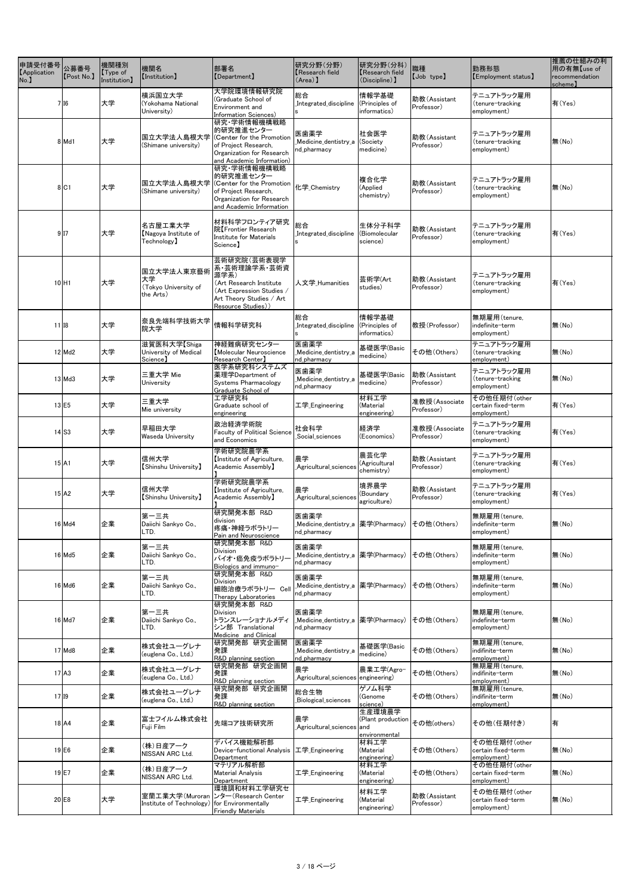| 申請受付番号<br><b>[Application</b><br>No. | 公募番号<br>[Post No.]  | 機関種別<br>$\lfloor$ Type of<br>Institution] | 機関名<br><b>【Institution】</b>                           | 部署名<br>[Department]                                                                                                                           | 研究分野(分野)<br>Research field<br>$(Area)$ ]                                  | 研究分野(分科)<br><b>Research field</b><br>$(Disciple)$ ] | 職種<br>[Job type]            | 勤務形態<br>[Employment status]                       | 推薦の仕組みの利<br>用の有無【use of<br>recommendation<br>scheme) |
|--------------------------------------|---------------------|-------------------------------------------|-------------------------------------------------------|-----------------------------------------------------------------------------------------------------------------------------------------------|---------------------------------------------------------------------------|-----------------------------------------------------|-----------------------------|---------------------------------------------------|------------------------------------------------------|
|                                      | 7 I 6               | 大学                                        | 横浜国立大学<br>(Yokohama National<br>University)           | 大学院環境情報研究院<br>(Graduate School of<br>Environment and<br>Information Sciences)                                                                 | 総合<br>Integrated_discipline                                               | 情報学基礎<br>(Principles of<br>informatics)             | 助教(Assistant<br>Professor)  | テニュアトラック雇用<br>(tenure-tracking<br>employment)     | 有(Yes)                                               |
|                                      | $8$ Md1             | 大学                                        | 国立大学法人島根大学<br>(Shimane university)                    | 研究 学術情報機構戦略<br>的研究推進センター<br>(Center for the Promotion<br>of Project Research,<br>Organization for Research<br>and Academic Information)       | 医歯薬学<br>Medicine_dentistry_a<br>nd_pharmacy                               | 社会医学<br>(Society<br>medicine)                       | 助教(Assistant<br>Professor)  | テニュアトラック雇用<br>(tenure-tracking<br>employment)     | 無(No)                                                |
|                                      | 8 C1                | 大学                                        | 国立大学法人島根大学<br>(Shimane university)                    | 研究 学術情報機構戦略<br> 的研究推進センター<br>(Center for the Promotion<br>of Project Research,<br>Organization for Research<br>and Academic Information       | 化学 <sub>Chemistry</sub>                                                   | 複合化学<br>(Applied<br>chemistry)                      | 助教(Assistant<br>Professor)  | テニュアトラック雇用<br>(tenure-tracking<br>employment)     | 無(No)                                                |
|                                      | 9 17                | 大学                                        | 名古屋工業大学<br>Nagoya Institute of<br>Technology)         | 材料科学フロンティア研究<br>院【Frontier Research<br>Institute for Materials<br>Science)                                                                    | 総合<br>Integrated_discipline                                               | 生体分子科学<br>(Biomolecular<br>science)                 | 助教(Assistant<br>Professor)  | テニュアトラック雇用<br>(tenure-tracking<br>employment)     | 有(Yes)                                               |
|                                      | $10$ H <sub>1</sub> | 大学                                        | 国立大学法人東京藝術<br>大学<br>(Tokyo University of<br>the Arts) | 芸術研究院(芸術表現学<br>系·芸術理論学系·芸術資<br>源学系)<br>(Art Research Institute<br>(Art Expression Studies /<br>Art Theory Studies / Art<br>Resource Studies)) | 人文学_Humanities                                                            | 芸術学(Art<br>studies)                                 | 助教(Assistant<br>Professor)  | テニュアトラック雇用<br>(tenure-tracking<br>employment)     | 有(Yes)                                               |
|                                      | $11$ $18$           | 大学                                        | 奈良先端科学技術大学<br>院大学                                     | 情報科学研究科                                                                                                                                       | 総合<br>Integrated_discipline<br>ls                                         | 情報学基礎<br>(Principles of<br>informatics)             | 教授(Professor)               | 無期雇用(tenure,<br>indefinite-term<br>employment)    | 無(No)                                                |
|                                      | 12 Md2              | 大学                                        | 滋賀医科大学【Shiga<br>University of Medical<br>Science)     | 神経難病研究センター<br>Molecular Neuroscience<br>Research Center】                                                                                      | 医歯薬学<br>Medicine_dentistry_a<br>nd_pharmacy                               | 基礎医学(Basic<br>medicine)                             | その他(Others)                 | テニュアトラック雇用<br>(tenure-tracking<br>employment)     | 無(No)                                                |
|                                      | $13$ Md $3$         | 大学                                        | 三重大学 Mie<br>University                                | 医学系研究科システムズ<br>薬理学Department of<br>Systems Pharmacology<br>Graduate School of                                                                 | 医歯薬学<br>_Medicine_dentistry_a<br>nd_pharmacy                              | 基礎医学(Basic<br>medicine)                             | 助教(Assistant<br>Professor)  | テニュアトラック雇用<br>(tenure-tracking<br>employment)     | 無(No)                                                |
|                                      | $13$ E <sub>5</sub> | 大学                                        | 三重大学<br>Mie university                                | 工学研究科<br>Graduate school of<br>engineering                                                                                                    | 工学_Engineering                                                            | 材料工学<br>(Material<br>engineering)                   | 准教授(Associate<br>Professor) | その他任期付(other<br>certain fixed-term<br>employment) | 有(Yes)                                               |
|                                      | $14$ S3             | 大学                                        | 早稲田大学<br><b>Waseda University</b>                     | 政治経済学術院 <br><b>Faculty of Political Science</b><br>and Economics                                                                              | 社会科学<br>Social_sciences                                                   | 経済学<br>(Economics)                                  | 准教授(Associate<br>Professor) | テニュアトラック雇用<br>(tenure-tracking<br>employment)     | 有(Yes)                                               |
|                                      | $15$ A <sub>1</sub> | 大学                                        | 信州大学<br>[Shinshu University]                          | 学術研究院農学系<br>Institute of Agriculture,<br>Academic Assembly】                                                                                   | 農学<br>Agricultural_sciences_                                              | 農芸化学<br>(Agricultural<br>chemistry)                 | 助教(Assistant<br>Professor)  | テニュアトラック雇用<br>(tenure-tracking<br>employment)     | 有(Yes)                                               |
|                                      | $15$ A <sub>2</sub> | 大学                                        | 信州大学<br><b>【Shinshu University】</b>                   | 学術研究院農学系<br>Institute of Agriculture,<br>Academic Assembly)                                                                                   | 農学<br>_Agricultural_sciences                                              | 境界農学<br>(Boundary<br>agriculture)                   | 助教(Assistant<br>Professor)  | テニュアトラック雇用<br>(tenure-tracking<br>employment)     | 有(Yes)                                               |
|                                      | 16 Md4              | 企業                                        | 第一三共<br>Daiichi Sankyo Co.,<br>LTD.                   | 研究開発本部 R&D<br>division<br>疼痛・神経ラボラトリー<br>Pain and Neuroscience                                                                                | 医歯薬学<br>_Medicine_dentistry_a  薬学(Pharmacy)<br>nd_pharmacy                |                                                     | その他(Others)                 | 無期雇用(tenure,<br>indefinite-term<br>employment)    | 無(No)                                                |
|                                      | 16 Md5              | 企業                                        | 第一三共<br>Daiichi Sankyo Co.,<br>LTD.                   | 研究開発本部 R&D<br><b>Division</b><br>バイオ・癌免疫ラボラトリー<br>Biologics and immuno-                                                                       | 医歯薬学<br>_Medicine_dentistry_a  薬学(Pharmacy)<br>nd_pharmacy                |                                                     | その他(Others)                 | 無期雇用(tenure,<br>indefinite-term<br>employment)    | 無(No)                                                |
|                                      | 16 Md6              | 企業                                        | 第一三共<br>Daiichi Sankyo Co.,<br>LTD.                   | 研究開発本部 R&D<br><b>Division</b><br>細胞治療ラボラトリー Cell<br>Therapy Laboratories                                                                      | 医歯薬学<br>_Medicine_dentistry_a  薬学(Pharmacy)<br>nd_pharmacy                |                                                     | その他(Others)                 | 無期雇用(tenure,<br>indefinite-term<br>employment)    | 無(No)                                                |
|                                      | 16 Md7              | 企業                                        | 第一三共<br>Daiichi Sankyo Co.,<br>LTD.                   | 研究開発本部 R&D<br><b>Division</b><br>トランスレーショナルメディ<br>シン部 Translational<br>Medicine and Clinical                                                  | 医歯薬学<br> _Medicine_dentistry_a  薬学(Pharmacy)  その他 (Others)<br>nd_pharmacy |                                                     |                             | 無期雇用(tenure,<br>indefinite-term<br>employment)    | 無(No)                                                |
|                                      | 17 Md8              | 企業                                        | 株式会社ユーグレナ<br>(euglena Co., Ltd.)                      | 研究開発部 研究企画開<br>発課<br>R&D planning section                                                                                                     | 医歯薬学<br>Medicine_dentistry_a<br>nd_pharmacy                               | 基礎医学(Basic<br>medicine)                             | その他(Others)                 | 無期雇用(tenure,<br>indifinite-term<br>employment)    | 無(No)                                                |
|                                      | $17$ A <sub>3</sub> | 企業                                        | 株式会社ユーグレナ<br>(euglena Co., Ltd.)                      | 研究開発部 研究企画開<br>発課<br>R&D planning section                                                                                                     | 農学<br>Agricultural_sciences engineering)                                  | 農業工学(Agro-                                          | その他(Others)                 | 無期雇用(tenure,<br>indifinite-term<br>employment)    | 無(No)                                                |
|                                      | $17$ $19$           | 企業                                        | 株式会社ユーグレナ<br>(euglena Co., Ltd.)                      | 研究開発部 研究企画開<br>発課<br>R&D planning section                                                                                                     | 総合生物<br>Biological_sciences                                               | ゲノム科学<br>(Genome<br>science)                        | その他(Others)                 | 無期雇用(tenure,<br>indifinite-term<br>employment)    | 無(No)                                                |
|                                      | 18 A4               | 企業                                        | 富士フイルム株式会社<br>Fuji Film                               | 先端コア技術研究所                                                                                                                                     | 農学<br>_Agricultural_sciences and                                          | 生産環境農学<br>(Plant production<br>environmental        | その他(others)                 | をの他(任期付き)                                         | 有                                                    |
|                                      | $19$ E <sub>6</sub> | 企業                                        | (株)日産アーク<br>NISSAN ARC Ltd.                           | デバイス機能解析部<br>Device-functional Analysis<br>Department                                                                                         | 工学_Engineering                                                            | 材料工学<br>(Material<br>engineering)                   | その他(Others)                 | その他任期付(other<br>certain fixed-term<br>employment) | 無(No)                                                |
|                                      | $19$ E7             | 企業                                        | (株)日産アーク<br>NISSAN ARC Ltd.                           | マテリアル解析部<br><b>Material Analysis</b><br>Department                                                                                            | 工学 Engineering                                                            | 材料工学<br>(Material<br>engineering)                   | その他(Others)                 | その他任期付(other<br>certain fixed-term<br>employment) | 無(No)                                                |
|                                      | $20$ <sup>E8</sup>  | 大学                                        | Institute of Technology) for Environmentally          | 環境調和材料工学研究セ<br>室蘭工業大学(Muroran レター(Research Center<br><b>Friendly Materials</b>                                                                | 工学 <sub>_</sub> Engineering                                               | 材料工学<br>(Material<br>engineering)                   | 助教(Assistant<br>Professor)  | その他任期付(other<br>certain fixed-term<br>employment) | 無(No)                                                |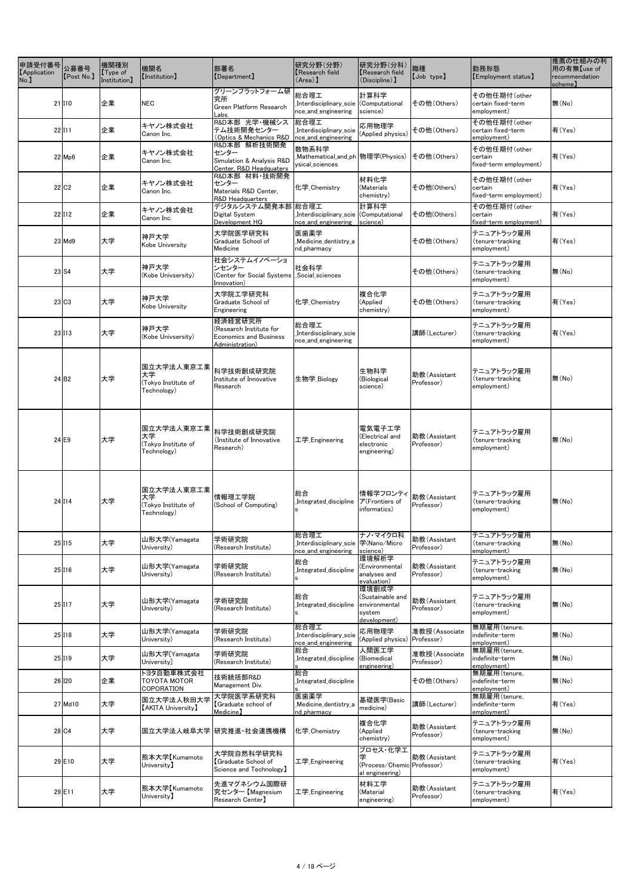| 申請受付番号<br><b>[Application</b><br>No. | 公募番号<br>[Post No.]   | 機関種別<br>$\sqrt{\int$ Type of<br>Institution] | 機関名<br>[Institution]                                    | 部署名<br>[Department]                                                                    | 研究分野(分野)<br>Research field<br>$(Area)$ ]                     | 研究分野(分科)<br>Research field<br>(Discipline) ]                         | 職種<br>[Job type]            | 勤務形態<br>[Employment status]                       | 推薦の仕組みの利<br>用の有無【use of<br>recommendation<br>scheme】 |
|--------------------------------------|----------------------|----------------------------------------------|---------------------------------------------------------|----------------------------------------------------------------------------------------|--------------------------------------------------------------|----------------------------------------------------------------------|-----------------------------|---------------------------------------------------|------------------------------------------------------|
|                                      | $21$  10             | 企業                                           | <b>NEC</b>                                              | グリーンプラットフォーム研<br>究所<br>Green Platform Research<br>Labs.                                | 総合理工<br>Interdisciplinary_scie<br>nce_and_engineering        | 計算科学<br>(Computational<br>science)                                   | その他(Others)                 | その他任期付(other<br>certain fixed-term<br>employment) | 無(No)                                                |
|                                      | $22$  111            | 企業                                           | キヤノン株式会社<br>Canon Inc.                                  | R&D本部 光学·機械シス<br> テム技術開発センター<br>(Optics & Mechanics R&D                                | 総合理工<br>Interdisciplinary_scie<br>nce_and_engineering        | 応用物理学<br>(Applied physics)                                           | その他(Others)                 | その他任期付(other<br>certain fixed-term<br>employment) | 有(Yes)                                               |
|                                      | $22$ Mp <sub>6</sub> | 企業                                           | キヤノン株式会社<br>Canon Inc.                                  | R&D本部 解析技術開発<br>センター<br>Simulation & Analysis R&D<br>Center, R&D Headquaters           | 数物系科学<br>ysical_sciences                                     |                                                                      | その他(Others)                 | その他任期付(other<br>certain<br>fixed-term employment) | 有(Yes)                                               |
|                                      | 22 C2                | 企業                                           | キヤノン株式会社<br>Canon Inc.                                  | R&D本部 材料·技術開発<br>センター<br>Materials R&D Center,<br>R&D Headquarters                     | 化学 Chemistry                                                 | 材料化学<br>(Materials<br>chemistry)                                     | その他(Others)                 | その他任期付(other<br>certain<br>fixed-term employment) | 有(Yes)                                               |
|                                      | $22$ 112             | 企業                                           | キヤノン株式会社<br>Canon Inc.                                  | デジタルシステム開発本部 総合理工<br>Digital System<br>Development HQ                                  | Interdisciplinary_scie (Computational<br>nce_and_engineering | 計算科学<br>science)                                                     | その他(Others)                 | その他任期付(other<br>certain<br>fixed-term employment) | 有(Yes)                                               |
|                                      | 23 Md9               | 大学                                           | 神戸大学<br>Kobe University                                 | 大学院医学研究科<br>Graduate School of<br>Medicine                                             | 医歯薬学<br>Medicine_dentistry_a<br>nd_pharmacy                  |                                                                      | その他(Others)                 | テニュアトラック雇用<br>(tenure-tracking<br>employment)     | 有(Yes)                                               |
|                                      | $23$ S4              | 大学                                           | 神戸大学<br>(Kobe Univsersity)                              | 社会システムイノベーショ<br>ンセンター<br>(Center for Social Systems<br>Innovation)                     | 社会科学<br>Social_sciences                                      |                                                                      | その他(Others)                 | テニュアトラック雇用<br>(tenure-tracking<br>employment)     | 無(No)                                                |
|                                      | 23 C3                | 大学                                           | 神戸大学<br>Kobe University                                 | 大学院工学研究科<br>Graduate School of<br>Engineering                                          | 化学 Chemistry                                                 | 複合化学<br>(Applied<br>chemistry)                                       | その他(Others)                 | テニュアトラック雇用<br>(tenure-tracking<br>employment)     | 有(Yes)                                               |
|                                      | 23 113               | 大学                                           | 神戸大学<br>(Kobe Univsersity)                              | 経済経営研究所<br>(Research Institute for<br><b>Economics and Business</b><br>Administration) | 総合理工<br>Interdisciplinary_scie<br>nce_and_engineering        |                                                                      | 講師(Lecturer)                | テニュアトラック雇用<br>(tenure-tracking<br>employment)     | 有(Yes)                                               |
|                                      | 24 B2                | 大学                                           | 国立大学法人東京工業<br>大学<br>(Tokyo Institute of<br>Technology)  | 科学技術創成研究院<br>Institute of Innovative<br>Research                                       | 生物学_Biology                                                  | 生物科学<br>(Biological<br>science)                                      | 助教(Assistant<br>Professor)  | テニュアトラック雇用<br>(tenure-tracking<br>employment)     | 無(No)                                                |
|                                      | $24$ E9              | 大学                                           | 国立大学法人東京工業 <br>大学<br>(Tokyo Institute of<br>Technology) | 科学技術創成研究院<br>(Institute of Innovative<br>Research)                                     | 工学 Engineering                                               | 電気電子工学<br>(Electrical and<br>electronic<br>engineering)              | 助教(Assistant<br>Professor)  | テニュアトラック雇用<br>(tenure-tracking<br>employment)     | 無(No)                                                |
|                                      | $24$ 114             | 大学                                           | 国立大学法人東京工業<br>大学<br>(Tokyo Institute of<br>Technology)  | 情報理工学院<br>(School of Computing)                                                        | 総合<br>Integrated_discipline                                  | 情報学フロンティ<br>ア(Frontiers of<br>informatics)                           | 助教(Assistant<br>Professor)  | テニュアトラック雇用<br>(tenure-tracking<br>employment)     | 無(No)                                                |
|                                      | 25 115               | 大学                                           | 山形大学(Yamagata<br>University)                            | 学術研究院<br>(Research Institute)                                                          | 総合理工<br>nce_and_engineering                                  | ナノ・マイクロ科<br>science)                                                 | 助教(Assistant<br>Professor)  | テニュアトラック雇用<br>(tenure-tracking<br>employment)     | 無(No)                                                |
|                                      | 25 116               | 大学                                           | 山形大学(Yamagata<br>University)                            | 学術研究院<br>(Research Institute)                                                          | 総合<br>Integrated_discipline                                  | 環境解析学<br>(Environmental<br>analyses and<br>evaluation)               | 助教(Assistant<br>Professor)  | テニュアトラック雇用<br>(tenure-tracking<br>employment)     | 無(No)                                                |
|                                      | 25 117               | 大学                                           | 山形大学(Yamagata<br>University)                            | 学術研究院<br>(Research Institute)                                                          | 総合<br>Integrated_discipline<br>ls.                           | 環境創成学<br>(Sustainable and<br>environmental<br>system<br>development) | 助教(Assistant<br>Professor)  | テニュアトラック雇用<br>(tenure-tracking<br>employment)     | 無(No)                                                |
|                                      | 25 118               | 大学                                           | 山形大学(Yamagata<br>University)                            | 学術研究院<br>(Research Institute)                                                          | 総合理工<br>Interdisciplinary_scie<br>nce_and_engineering        | 応用物理学<br>(Applied physics) Professor)                                | 准教授(Associate               | 無期雇用(tenure,<br>indefinite-term<br>employment)    | 無(No)                                                |
|                                      | 25 119               | 大学                                           | 山形大学[Yamagata<br>University]                            | 学術研究院<br>(Research Institute)                                                          | 総合<br>Integrated_discipline_                                 | 人間医工学<br>(Biomedical<br>engineering)                                 | 准教授(Associate<br>Professor) | 無期雇用(tenure,<br>indefinite-term<br>employment)    | 無(No)                                                |
|                                      | 26 120               | 企業                                           | トヨタ自動車株式会社<br><b>TOYOTA MOTOR</b><br><b>COPORATION</b>  | 技術統括部R&D<br>Management Div.                                                            | 総合<br>Integrated_discipline                                  |                                                                      | その他(Others)                 | 無期雇用(tenure,<br>indefinite-term<br>employment)    | 無(No)                                                |
|                                      | 27 Md10              | 大学                                           | 国立大学法人秋田大学<br><b>[AKITA University]</b>                 | 大学院医学系研究科<br>Graduate school of<br>Medicine)                                           | 医歯薬学<br>Medicine_dentistry_a<br>nd_pharmacy                  | 基礎医学(Basic<br>medicine)                                              | 講師(Lecturer)                | 無期雇用(tenure,<br>indefinite-term<br>employment)    | 有(Yes)                                               |
|                                      | $28$ C <sub>4</sub>  | 大学                                           |                                                         | 国立大学法人岐阜大学 研究推進・社会連携機構                                                                 | 化学 Chemistry                                                 | 複合化学<br>(Applied<br>chemistry)                                       | 助教(Assistant<br>Professor)  | テニュアトラック雇用<br>(tenure-tracking<br>employment)     | 無(No)                                                |
|                                      | $29$ E10             | 大学                                           | 熊本大学【Kumamoto<br>University】                            | 大学院自然科学研究科<br>Graduate School of<br>Science and Technology                             | 工学_Engineering                                               | プロセス・化学工<br>(Process/Chemic Professor)<br>al engineering)            | 助教(Assistant                | テニュアトラック雇用<br>(tenure-tracking<br>employment)     | 有(Yes)                                               |
|                                      | $29$ E11             | 大学                                           | 熊本大学【Kumamoto<br>University】                            | 先進マグネシウム国際研<br>究センター【Magnesium<br>Research Center】                                     | 工学_Engineering                                               | 材料工学<br>(Material<br>engineering)                                    | 助教(Assistant<br>Professor)  | テニュアトラック雇用<br>(tenure-tracking<br>employment)     | 有(Yes)                                               |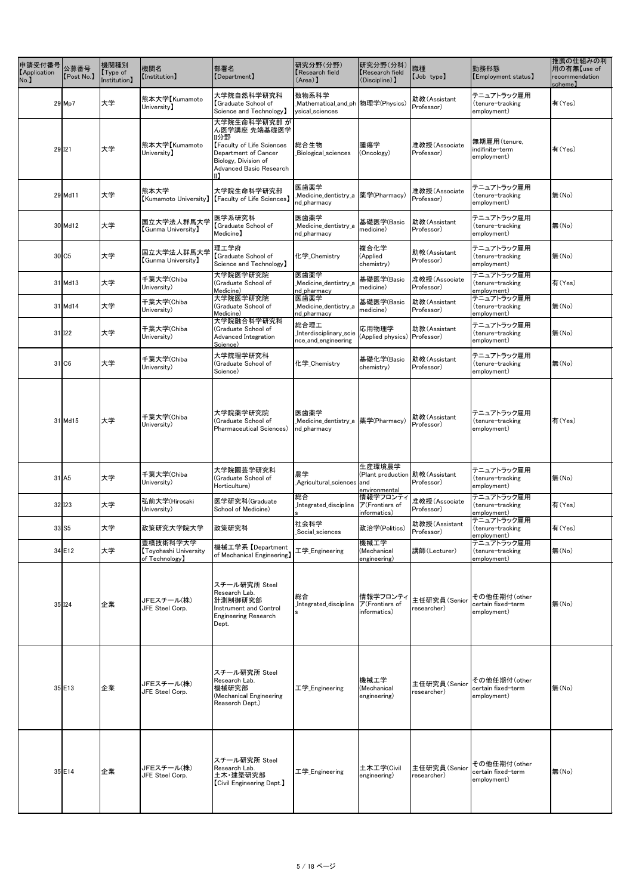| 申請受付番号<br>[Application<br>No.] | 公募番号<br>[Post No.]  | 機関種別<br>$\mathsf{Type}$ of<br>Institution] | 機関名<br>[Institution]                              | 部署名<br>[Department]                                                                                                                                       | 研究分野(分野)<br>Research field<br>$(Area)$ ]                                                                                                        | 研究分野(分科)<br>Kesearch field<br>(Discipline) ]                 | 職種<br>[Job type]            | 勤務形態<br>[Employment status]                       | 推薦の仕組みの利<br>用の有無【use of<br>recommendation<br>scheme) |
|--------------------------------|---------------------|--------------------------------------------|---------------------------------------------------|-----------------------------------------------------------------------------------------------------------------------------------------------------------|-------------------------------------------------------------------------------------------------------------------------------------------------|--------------------------------------------------------------|-----------------------------|---------------------------------------------------|------------------------------------------------------|
|                                | $29$ Mp7            | 大学                                         | 熊本大学【Kumamoto<br>University)                      | 大学院自然科学研究科<br>Graduate School of<br>Science and Technology)                                                                                               | 数物系科学<br>ysical_sciences                                                                                                                        |                                                              | 助教(Assistant<br>Professor)  | テニュアトラック雇用<br>(tenure-tracking<br>employment)     | 有(Yes)                                               |
| 29 121                         |                     | 大学                                         | 熊本大学【Kumamoto<br>University)                      | 大学院生命科学研究部 が<br>ん医学講座 先端基礎医学<br>Ⅲ分野<br><b>[Faculty of Life Sciences</b><br>Department of Cancer<br>Biology, Division of<br><b>Advanced Basic Research</b> | 総合生物<br>Biological_sciences                                                                                                                     | 腫瘍学<br>(Oncology)                                            | 准教授(Associate<br>Professor) | 無期雇用(tenure,<br>indifinite-term<br>employment)    | 有(Yes)                                               |
|                                | $29$ Md11           | 大学                                         | 熊本大学                                              | 大学院生命科学研究部<br>[Kumamoto University]   [Faculty of Life Sciences]                                                                                          | 医歯薬学<br>_Medicine_dentistry_a  薬学(Pharmacy)<br>nd_pharmacy                                                                                      |                                                              | 准教授(Associate<br>Professor) | テニュアトラック雇用<br>(tenure-tracking<br>employment)     | 無(No)                                                |
|                                | $30$ Md12           | 大学                                         | 国立大学法人群馬大学<br><b>(Gunma University)</b>           | 医学系研究科<br>Graduate School of<br>Medicine)                                                                                                                 | 医歯薬学<br>Medicine_dentistry_a<br>nd_pharmacy                                                                                                     | 基礎医学(Basic<br>medicine)                                      | 助教(Assistant<br>Professor)  | テニュアトラック雇用<br>(tenure-tracking<br>employment)     | 無(No)                                                |
|                                | 30 C5               | 大学                                         | 国立大学法人群馬大学<br><b>(Gunma University)</b>           | 理工学府<br>Graduate School of<br>Science and Technology)                                                                                                     | 化学_Chemistry                                                                                                                                    | 複合化学<br>(Applied<br>chemistry)                               | 助教(Assistant<br>Professor)  | テニュアトラック雇用<br>(tenure-tracking<br>employment)     | 無(No)                                                |
|                                | $31$ Md13           | 大学                                         | 千葉大学(Chiba<br>University)                         | 大学院医学研究院<br>(Graduate School of<br>Medicine)                                                                                                              | 医歯薬学<br>Medicine_dentistry_a<br>nd_pharmacy                                                                                                     | 基礎医学(Basic<br>medicine)                                      | 准教授(Associate<br>Professor) | テニュアトラック雇用<br>(tenure-tracking<br>employment)     | 有(Yes)                                               |
|                                | $31$ Md14           | 大学                                         | 千葉大学(Chiba<br>University)                         | 大学院医学研究院<br>(Graduate School of<br>Medicine)                                                                                                              | 医歯薬学<br>Medicine_dentistry_a<br>nd_pharmacy                                                                                                     | 基礎医学(Basic<br>medicine)                                      | 助教(Assistant<br>Professor)  | テニュアトラック雇用<br>(tenure-tracking<br>employment)     | 無(No)                                                |
|                                | 31 122              | 大学                                         | 千葉大学(Chiba<br>University)                         | 大学院融合科学研究科<br>(Graduate School of<br>Advanced Integration<br>Science)                                                                                     | 総合理工<br><sup>総百理工</sup><br>_Interdisciplinary_scie  応用物理学    助教(Assis<br>nee and engineering (Applied physics)Professor)<br>nce_and_engineering |                                                              | 助教(Assistant                | テニュアトラック雇用<br>(tenure-tracking<br>employment)     | 無(No)                                                |
|                                | 31 C6               | 大学                                         | 千葉大学(Chiba<br>University)                         | 大学院理学研究科<br>(Graduate School of<br>Science)                                                                                                               | 化学 Chemistry                                                                                                                                    | 基礎化学(Basic<br>chemistry)                                     | 助教(Assistant<br>Professor)  | テニュアトラック雇用<br>(tenure-tracking<br>employment)     | 無(No)                                                |
|                                | $31$ Md15           | 大学                                         | 千葉大学(Chiba<br>University)                         | 大学院薬学研究院<br>(Graduate School of<br>Pharmaceutical Sciences)                                                                                               | 医歯薬学<br>nd_pharmacy                                                                                                                             |                                                              | 助教(Assistant<br>Professor)  | テニュアトラック雇用<br>(tenure-tracking<br>employment)     | 有(Yes)                                               |
|                                | $31$ A <sub>5</sub> | 大学                                         | 千葉大学(Chiba<br>University)                         | 大学院園芸学研究科<br>(Graduate School of<br>Horticulture)                                                                                                         | 農学<br>_Agricultural_sciences  and                                                                                                               | 生産環境農学<br>(Plant production   助教 (Assistant<br>environmental | Professor)                  | テニュアトラック雇用<br>(tenure-tracking<br>employment)     | 無(No)                                                |
|                                | 32 123              | 大学                                         | 弘前大学(Hirosaki<br>University)                      | 医学研究科(Graduate<br>School of Medicine)                                                                                                                     | 総合<br>Integrated_discipline                                                                                                                     | 情報学フロンティ<br>ア(Frontiers of<br>informatics)                   | 准教授(Associate<br>Professor) | テニュアトラック雇用<br>(tenure-tracking<br>employment)     | 有(Yes)                                               |
| $33$ S5                        |                     | 大学                                         | 政策研究大学院大学                                         | 政策研究科                                                                                                                                                     | 社会科学<br>Social_sciences                                                                                                                         | 政治学(Politics)                                                | 助教授(Assistant<br>Professor) | テニュアトラック雇用<br>(tenure-tracking<br>employment)     | 有(Yes)                                               |
|                                | 34 E12              | 大学                                         | 豊橋技術科学大学<br>Toyohashi University<br>of Technology | 機械工学系【Department<br>of Mechanical Engineering)                                                                                                            | 工学 Engineering                                                                                                                                  | 機械工学<br>(Mechanical<br>engineering)                          | 講師(Lecturer)                | テニュアトラック雇用<br>(tenure-tracking<br>employment)     | 無(No)                                                |
|                                | 35 124              | 企業                                         | JFEスチール(株)<br>JFE Steel Corp.                     | スチール研究所 Steel<br>Research Lab.<br>計測制御研究部<br><b>Instrument and Control</b><br><b>Engineering Research</b><br>Dept.                                        | 総合<br>Integrated discipline                                                                                                                     | 情報学フロンティ<br>ア(Frontiers of<br>informatics)                   | 主任研究員(Senior<br>researcher) | その他任期付(other<br>certain fixed-term<br>employment) | 無(No)                                                |
|                                | $35$ E13            | 企業                                         | JFEスチール(株)<br>JFE Steel Corp.                     | スチール研究所 Steel<br>Research Lab.<br>機械研究部<br>(Mechanical Engineering<br>Reaserch Dept.)                                                                     | 工学 <sub>_</sub> Engineering                                                                                                                     | 機械工学<br>(Mechanical<br>engineering)                          | 主任研究員(Senior<br>researcher) | その他任期付(other<br>certain fixed-term<br>employment) | 無(No)                                                |
|                                | $35$ E14            | 企業                                         | JFEスチール(株)<br>JFE Steel Corp.                     | スチール研究所 Steel<br>Research Lab.<br>土木·建築研究部<br><b>[Civil Engineering Dept.]</b>                                                                            | 工学 Engineering                                                                                                                                  | 土木工学(Civil<br>engineering)                                   | 主任研究員(Senior<br>researcher) | その他任期付(other<br>certain fixed-term<br>employment) | 無(No)                                                |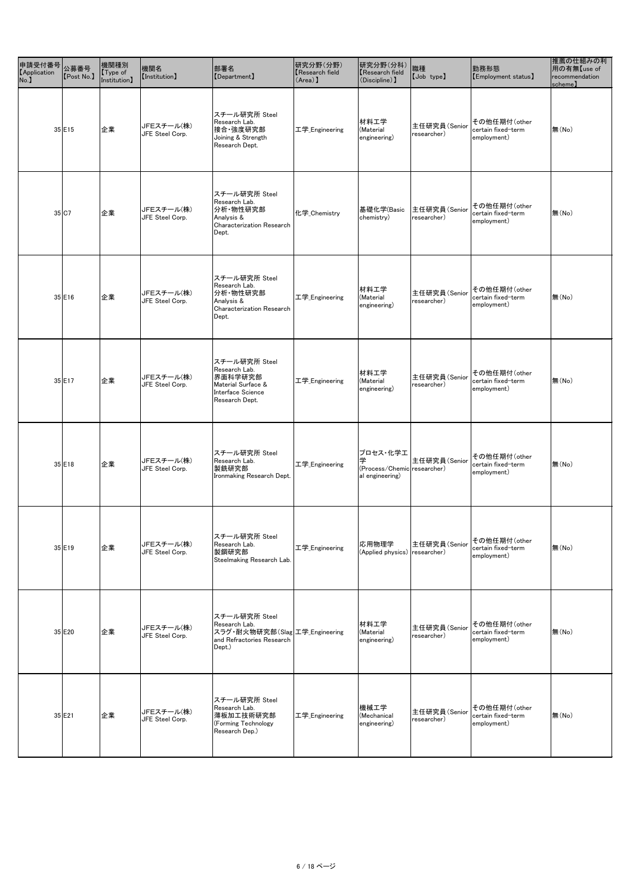| 中請受付番号<br>- <sub>1.</sub><br>- 1. 1. 1. 1. 2. 2. 募番号<br><b>[Application</b><br>No. | [Post No.] | 機関種別<br>$\sqrt{\int$ Type of<br>Institution) | 機関名<br>[Institution]          | 部署名<br>[Department]                                                                                     | 研究分野(分野)<br><b>Research field</b><br>$(Area)$ ] | 研究分野(分科)<br><b>K</b> esearch field<br>$(Disciple)$ ]            | 職種<br>[Job type]            | 勤務形態<br>[Employment status]                       | 推薦の仕組みの利<br>用の有無【use of<br>recommendation<br>scheme) |
|------------------------------------------------------------------------------------|------------|----------------------------------------------|-------------------------------|---------------------------------------------------------------------------------------------------------|-------------------------------------------------|-----------------------------------------------------------------|-----------------------------|---------------------------------------------------|------------------------------------------------------|
|                                                                                    | $35$ E15   | 企業                                           | JFEスチール(株)<br>JFE Steel Corp. | スチール研究所 Steel<br>Research Lab.<br> 接合·強度研究部<br>Joining & Strength<br>Research Dept.                     | 工学_Engineering                                  | 材料工学<br>(Material<br>engineering)                               | 主任研究員(Senior<br>researcher) | その他任期付(other<br>certain fixed-term<br>employment) | 無(No)                                                |
|                                                                                    | 35 C7      | 企業                                           | JFEスチール(株)<br>JFE Steel Corp. | スチール研究所 Steel<br>Research Lab.<br>分析·物性研究部<br>Analysis &<br><b>Characterization Research</b><br>Dept.   | 化学_Chemistry                                    | 基礎化学(Basic<br>chemistry)                                        | 主任研究員(Senior<br>researcher) | その他任期付(other<br>certain fixed-term<br>employment) | 無(No)                                                |
|                                                                                    | $35$ E16   | 企業                                           | JFEスチール(株)<br>JFE Steel Corp. | スチール研究所 Steel<br>Research Lab.<br>分析·物性研究部<br>Analysis &<br><b>Characterization Research</b><br>Dept.   | 工学_Engineering                                  | 材料工学<br>(Material<br>engineering)                               | 主任研究員(Senior<br>researcher) | その他任期付(other<br>certain fixed-term<br>employment) | 無(No)                                                |
|                                                                                    | $35$ E17   | 企業                                           | JFEスチール(株)<br>JFE Steel Corp. | スチール研究所 Steel<br>Research Lab.<br>界面科学研究部<br>Material Surface &<br>Interface Science<br>Research Dept.  | 工学Engineering                                   | 材料工学<br>(Material<br>engineering)                               | 主任研究員(Senior<br>researcher) | その他任期付(other<br>certain fixed-term<br>employment) | 無(No)                                                |
|                                                                                    | $35$ E18   | 企業                                           | JFEスチール(株)<br>JFE Steel Corp. | スチール研究所 Steel<br>Research Lab.<br>製銑研究部<br>Ironmaking Research Dept.                                    | 工学_Engineering                                  | プロセス・化学工<br>学<br>(Process/Chemic researcher)<br>al engineering) | 主任研究員(Senior                | その他任期付(other<br>certain fixed-term<br>employment) | 無(No)                                                |
|                                                                                    | $35$ E19   | 企業                                           | JFEスチール(株)<br>JFE Steel Corp. | スチール研究所 Steel<br>Research Lab.<br>製鋼研究部<br>Steelmaking Research Lab.                                    | 工学_Engineering                                  | 応用物理学<br>(Applied physics)                                      | 主任研究員(Senior<br>researcher) | その他任期付(other<br>certain fixed-term<br>employment) | 無(No)                                                |
|                                                                                    | $35$ E20   | 企業                                           | JFEスチール(株)<br>JFE Steel Corp. | スチール研究所 Steel<br>Research Lab.<br>スラグ・耐火物研究部(Slag 工学_Engineering<br>and Refractories Research<br>Dept.) |                                                 | 材料工学<br>(Material<br>engineering)                               | 主任研究員(Senior<br>researcher) | その他任期付(other<br>certain fixed-term<br>employment) | 無(No)                                                |
|                                                                                    | 35 E21     | 企業                                           | JFEスチール(株)<br>JFE Steel Corp. | スチール研究所 Steel<br>Research Lab.<br>薄板加工技術研究部<br>(Forming Technology<br>Research Dep.)                    | 工学_Engineering                                  | 機械工学<br>(Mechanical<br>engineering)                             | 主任研究員(Senior<br>researcher) | その他任期付(other<br>certain fixed-term<br>employment) | 無(No)                                                |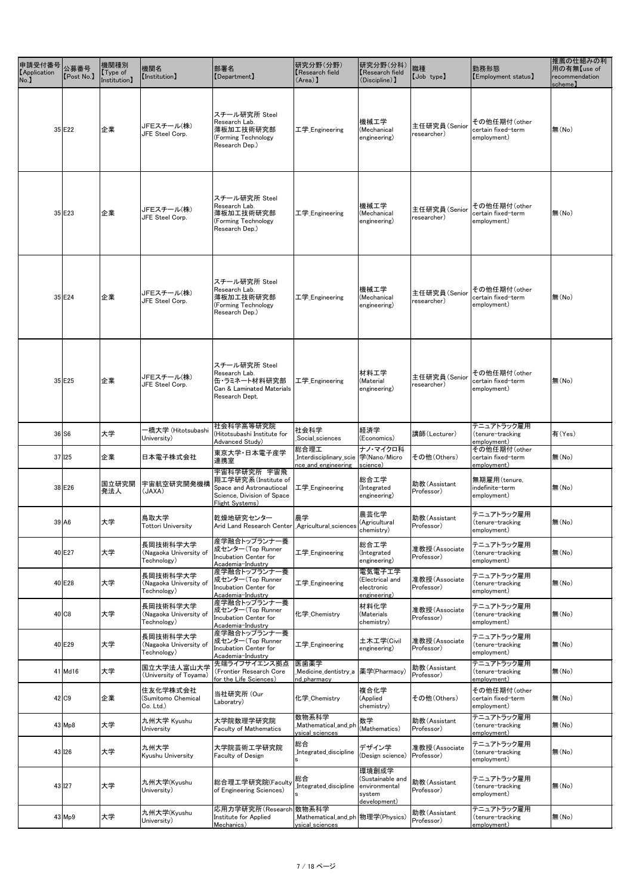| [Post No.]          | 機関種別<br>$\sqrt{\text{Type of}}$<br>Institution] | 機関名<br><b>[Institution]</b>                       | 部署名<br>[Department]                                                                                              | 研究分野(分野)<br>Kesearch field<br>$(\text{Area})$                        | 研究分野(分科)<br><b>K</b> esearch field<br>(Discipline) ]                 | 職種<br>[Job type]            | 勤務形態<br>[Employment status]                       | 推薦の仕組みの利<br>用の有無【use of<br>recommendation<br>scheme) |
|---------------------|-------------------------------------------------|---------------------------------------------------|------------------------------------------------------------------------------------------------------------------|----------------------------------------------------------------------|----------------------------------------------------------------------|-----------------------------|---------------------------------------------------|------------------------------------------------------|
| $35$ E22            | 企業                                              | JFEスチール(株)<br>JFE Steel Corp.                     | スチール研究所 Steel<br>Research Lab.<br>薄板加工技術研究部<br>(Forming Technology<br>Research Dep.)                             | 工学 Engineering                                                       | 機械工学<br>(Mechanical<br>engineering)                                  | 主任研究員(Senior<br>researcher) | その他任期付(other<br>certain fixed-term<br>employment) | 無(No)                                                |
| 35 E23              | 企業                                              | JFEスチール(株)<br>JFE Steel Corp.                     | スチール研究所 Steel<br>Research Lab.<br>薄板加工技術研究部<br>(Forming Technology<br>Research Dep.)                             | 工学 Engineering                                                       | 機械工学<br>(Mechanical<br>engineering)                                  | 主任研究員(Senior<br>researcher) | その他任期付(other<br>certain fixed-term<br>employment) | 無(No)                                                |
| 35 E24              | 企業                                              | JFEスチール(株)<br>JFE Steel Corp.                     | スチール研究所 Steel<br>Research Lab.<br>薄板加工技術研究部<br>(Forming Technology<br>Research Dep.)                             | 工学_Engineering                                                       | 機械工学<br>(Mechanical<br>engineering)                                  | 主任研究員(Senior<br>researcher) | その他任期付(other<br>certain fixed-term<br>employment) | 無(No)                                                |
| 35 E25              | 企業                                              | JFEスチール(株)<br>JFE Steel Corp.                     | スチール研究所 Steel<br>Research Lab.<br>缶・ラミネート材料研究部<br>Can & Laminated Materials<br>Research Dept.                    | 工学_Engineering                                                       | 材料工学<br>(Material<br>engineering)                                    | 主任研究員(Senior<br>researcher) | その他任期付(other<br>certain fixed-term<br>employment) | 無(No)                                                |
| $36$ S6             | 大学                                              | ー橋大学 (Hitotsubashi<br>University)                 | 社会科学高等研究院<br>(Hitotsubashi Institute for<br>Advanced Study)                                                      | 社会科学<br>Social_sciences                                              | 経済学<br>(Economics)                                                   | 講師(Lecturer)                | テニュアトラック雇用<br>(tenure-tracking<br>employment)     | 有(Yes)                                               |
| $37$ I25            | 企業                                              | 日本電子株式会社                                          | 東京大学·日本電子産学<br>連携室                                                                                               | 総合理工<br>_Interdisciplinary_scie  学(Nano/Micro<br>nce_and_engineering | ナノ・マイクロ科<br>science)                                                 | その他(Others)                 | その他任期付(other<br>certain fixed-term<br>employment) | 無(No)                                                |
| 38 E26              | 国立研究開<br>発法人                                    | 宇宙航空研究開発機構<br>(AXA)                               | 宇宙科学研究所 宇宙飛<br> 翔工学研究系(Institute of<br>Space and Astronautiocal<br>Science, Division of Space<br>Flight Systems) | 工学 <sub>_</sub> Engineering                                          | 総合工学<br>(Integrated<br>engineering)                                  | 助教(Assistant<br>Professor)  | 無期雇用(tenure,<br>indefinite-term<br>employment)    | 無(No)                                                |
| $39$ A <sub>6</sub> | 大学                                              | 鳥取大学<br><b>Tottori University</b>                 | 乾燥地研究センター<br>Arid Land Research Center   Agricultural sciences                                                   | 農学                                                                   | 農芸化学<br>(Agricultural<br>chemistry)                                  | 助教(Assistant<br>Professor)  | テニュアトラック雇用<br>(tenure-tracking<br>employment)     | 無(No)                                                |
| 40 E27              | 大学                                              | 長岡技術科学大学<br>(Nagaoka University of<br>Technology) | 産学融合トップランナー養<br>成センター(Top Runner<br><b>Incubation Center for</b><br>Academia-Industry                            | 工学_Engineering                                                       | 総合工学<br>(Integrated<br>engineering)                                  | 准教授(Associate<br>Professor) | テニュアトラック雇用<br>(tenure-tracking<br>employment)     | 無(No)                                                |
| 40 E28              | 大学                                              | 長岡技術科学大学<br>(Nagaoka University of<br>Technology) | 産学融合トップランナ一養 <br>成センター (Top Runner<br>Incubation Center for<br>Academia-Industry                                 | 工学_Engineering                                                       | 電気電子工学<br>(Electrical and<br>electronic<br>engineering)              | 准教授(Associate<br>Professor) | テニュアトラック雇用<br>(tenure-tracking<br>employment)     | 無(No)                                                |
| 40 C8               | 大学                                              | 長岡技術科学大学<br>(Nagaoka University of<br>Technology) | 産学融合トップランナー養<br>成センター (Top Runner<br>Incubation Center for<br>Academia-Industry                                  | 化学_Chemistry                                                         | 材料化学<br>(Materials<br>chemistry)                                     | 准教授(Associate<br>Professor) | テニュアトラック雇用<br>(tenure-tracking)<br>employment)    | 無(No)                                                |
| 40 E29              | 大学                                              | 長岡技術科学大学<br>(Nagaoka University of<br>Technology) | 産学融合トップランナ一養<br>成センター (Top Runner<br><b>Incubation Center for</b><br>Academia-Industry                           | 工学 Engineering                                                       | 土木工学(Civil<br>engineering)                                           | 准教授(Associate<br>Professor) | テニュアトラック雇用<br>(tenure-tracking<br>employment)     | 無(No)                                                |
| $41$ Md16           | 大学                                              | 国立大学法人富山大学<br>(University of Toyama)              | 先端ライフサイエンス拠点<br>(Frontier Research Core<br>for the Life Sciences)                                                | 医歯薬学<br>_Medicine_dentistry_a  薬学(Pharmacy)<br>nd pharmacy           |                                                                      | 助教(Assistant<br>Professor)  | テニュアトラック雇用<br>(tenure-tracking<br>employment)     | 無(No)                                                |
| 42 C9               | 企業                                              | 住友化学株式会社<br>(Sumitomo Chemical<br>Co. Ltd.)       | 当社研究所 (Our<br>Laboratry)                                                                                         | 化学 Chemistry                                                         | 複合化学<br>(Applied<br>chemistry)                                       | その他(Others)                 | その他任期付(other<br>certain fixed-term<br>employment) | 無(No)                                                |
| $43$ Mp8            | 大学                                              | 九州大学 Kyushu<br>University                         | 大学院数理学研究院<br><b>Faculty of Mathematics</b>                                                                       | 数物系科学<br>Mathematical_and_ph<br>ysical_sciences                      | 数学<br>(Mathematics)                                                  | 助教(Assistant<br>Professor)  | テニュアトラック雇用<br>(tenure-tracking<br>employment)     | 無(No)                                                |
| 43 126              | 大学                                              | 九州大学<br>Kyushu University                         | 大学院芸術工学研究院<br><b>Faculty of Design</b>                                                                           | 総合<br>Integrated_discipline                                          | デザイン学<br>(Design science)                                            | 准教授(Associate<br>Professor) | テニュアトラック雇用<br>(tenure-tracking<br>employment)     | 無(No)                                                |
| 43 127              | 大学                                              | 九州大学(Kyushu<br>University)                        | 総合理工学研究院(Faculty<br>of Engineering Sciences)                                                                     | 総合<br>Integrated_discipline                                          | 環境創成学<br>(Sustainable and<br>environmental<br>system<br>development) | 助教(Assistant<br>Professor)  | テニュアトラック雇用<br>(tenure-tracking<br>employment)     | 無(No)                                                |
| 43 Mp9              | 大学                                              | 九州大学(Kyushu<br>University)                        | 応用力学研究所(Research 数物系科学<br>Institute for Applied<br>Mechanics)                                                    | ysical_sciences                                                      |                                                                      | 助教(Assistant<br>Professor)  | テニュアトラック雇用<br>(tenure-tracking<br>employment)     | 無(No)                                                |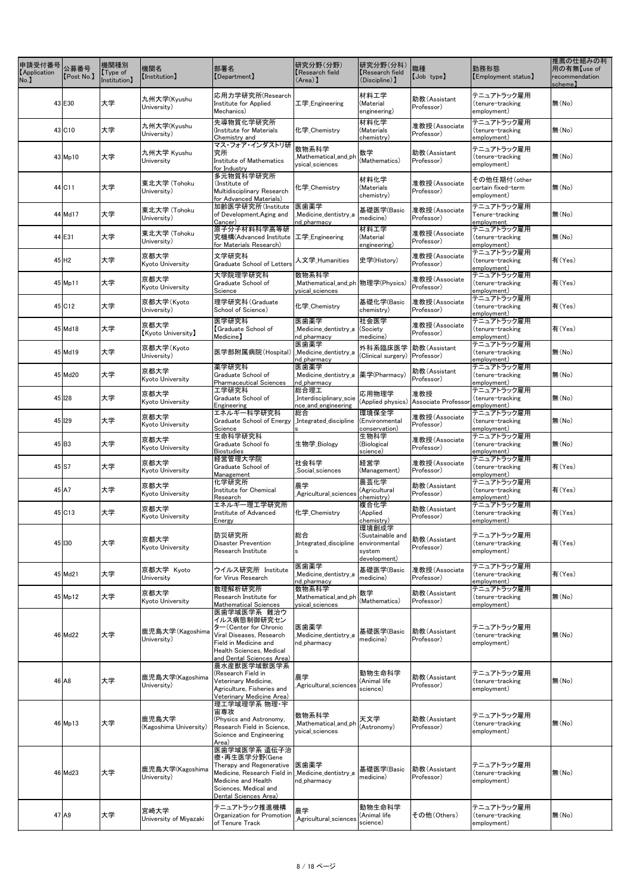| 中請受付番号 公募番号<br><b>[Application</b><br>No. | [Post No.]          | 機関種別<br>Type of<br>Institution] | 機関名<br>[Institution]            | 部署名<br>[Department]                                                                                                                                                        | 研究分野(分野)<br>Research field<br>$(Area)$ ]                   | 研究分野(分科)<br>Research field<br>(Discipline) 】                         | 職種<br>[Job type]                             | 勤務形態<br>[Employment status]                       | 推薦の仕組みの利<br>用の有無【use of<br>recommendation<br>scheme) |
|-------------------------------------------|---------------------|---------------------------------|---------------------------------|----------------------------------------------------------------------------------------------------------------------------------------------------------------------------|------------------------------------------------------------|----------------------------------------------------------------------|----------------------------------------------|---------------------------------------------------|------------------------------------------------------|
|                                           | 43 E30              | 大学                              | 九州大学(Kyushu<br>University)      | 応用力学研究所(Research<br>Institute for Applied<br>Mechanics)                                                                                                                    | 工学_Engineering                                             | 材料工学<br>(Material<br>engineering)                                    | 助教(Assistant<br>Professor)                   | テニュアトラック雇用<br>(tenure-tracking<br>employment)     | 無(No)                                                |
|                                           | 43 C <sub>10</sub>  | 大学                              | 九州大学(Kyushu<br>University)      | 先導物質化学研究所<br>(Institute for Materials)<br>Chemistry and                                                                                                                    | 化学 Chemistry                                               | 材料化学<br>(Materials<br>chemistry)                                     | 准教授(Associate<br>Professor)                  | テニュアトラック雇用<br>(tenure-tracking<br>employment)     | 無(No)                                                |
|                                           | 43 Mp10             | 大学                              | 九州大学 Kyushu<br>University       | マス・フォア・インダストリ研<br>究所<br>Institute of Mathematics<br>for Industry                                                                                                           | 数物系科学<br>Mathematical_and_ph<br>ysical_sciences            | 数学<br>(Mathematics)                                                  | 助教(Assistant<br>Professor)                   | テニュアトラック雇用<br>(tenure-tracking<br>employment)     | 無(No)                                                |
|                                           | 44 C11              | 大学                              | 東北大学 (Tohoku<br>University)     | 多元物質科学研究所<br>(Institute of<br>Multidisciplinary Research<br>for Advanced Materials)                                                                                        | 化学 Chemistry                                               | 材料化学<br>(Materials<br>chemistry)                                     | 准教授(Associate<br>Professor)                  | その他任期付(other<br>certain fixed-term<br>employment) | 無(No)                                                |
|                                           | 44 Md17             | 大学                              | 東北大学 (Tohoku<br>University)     | 加齢医学研究所(Institute<br>of Development, Aging and<br>Cancer)                                                                                                                  | 医歯薬学<br>Medicine_dentistry_a<br>nd_pharmacy                | 基礎医学(Basic<br>medicine)                                              | 准教授(Associate<br>Professor)                  | テニュアトラック雇用<br>Tenure-tracking<br>employment       | 無(No)                                                |
|                                           | 44 E31              | 大学                              | 東北大学 (Tohoku<br>University)     | 原子分子材料科学高等研<br>究機構(Advanced Institute<br>for Materials Research)                                                                                                           | 工学 <sub>_</sub> Engineering                                | 材料工学<br>(Material<br>engineering)                                    | 准教授(Associate<br>Professor)                  | テニュアトラック雇用<br>(tenure-tracking<br>employment)     | 無(No)                                                |
|                                           | $45$ H <sub>2</sub> | 大学                              | 京都大学<br>Kyoto University        | 文学研究科<br><b>Graduate School of Letters</b>                                                                                                                                 | 人文学_Humanities                                             | 史学(History)                                                          | 准教授(Associate<br>Professor)                  | テニュアトラック雇用<br>(tenure-tracking<br>employment)     | 有(Yes)                                               |
|                                           | 45 Mp11             | 大学                              | 京都大学<br>Kyoto University        | 大学院理学研究科<br>Graduate School of<br>Science                                                                                                                                  | 数物系科学<br>ysical_sciences                                   |                                                                      | 准教授(Associate<br>Professor)                  | テニュアトラック雇用<br>(tenure-tracking<br>employment)     | 有(Yes)                                               |
|                                           | 45 C12              | 大学                              | 京都大学(Kyoto<br>University)       | 理学研究科(Graduate<br>School of Science)                                                                                                                                       | 化学_Chemistry                                               | 基礎化学(Basic<br>chemistry)                                             | 准教授(Associate<br>Professor)                  | テニュアトラック雇用<br>(tenure-tracking<br>employment)     | 有(Yes)                                               |
|                                           | 45 Md18             | 大学                              | 京都大学<br><b>Kyoto University</b> | 医学研究科<br>Graduate School of<br>Medicine]                                                                                                                                   | 医歯薬学<br>Medicine_dentistry_a (Society<br>nd pharmacy       | 社会医学<br>medicine)                                                    | 准教授(Associate<br>Professor)                  | テニュアトラック雇用<br>(tenure-tracking<br>employment)     | 有(Yes)                                               |
|                                           | 45 Md19             | 大学                              | 京都大学(Kyoto<br>University)       | 医学部附属病院(Hospital)                                                                                                                                                          | 医歯薬学<br>_Medicine_dentistry_a<br>nd_pharmacy               | 外科系臨床医学<br>(Clinical surgery)                                        | 助教(Assistant<br>Professor)                   | テニュアトラック雇用<br>(tenure-tracking<br>employment)     | 無(No)                                                |
|                                           | 45 Md20             | 大学                              | 京都大学<br>Kyoto University        | 薬学研究科<br>Graduate School of<br><b>Pharmaceutical Sciences</b>                                                                                                              | 医歯薬学<br>_Medicine_dentistry_a  薬学(Pharmacy)<br>nd_pharmacy |                                                                      | 助教(Assistant<br>Professor)                   | テニュアトラック雇用<br>(tenure-tracking<br>employment)     | 無(No)                                                |
|                                           | 45 128              | 大学                              | 京都大学<br>Kyoto University        | 工学研究科<br>Graduate School of<br>Engineering                                                                                                                                 | 総合理工<br>Interdisciplinary_scie<br>nce_and_engineering      | 応用物理学                                                                | 准教授<br>(Applied physics) Associate Professor | テニュアトラック雇用<br>(tenure-tracking<br>employment)     | 無(No)                                                |
|                                           | 45 129              | 大学                              | 京都大学<br>Kyoto University        | エネルギー科学研究科<br>Graduate School of Energy<br>Science                                                                                                                         | 総合<br>Integrated_discipline                                | 環境保全学<br>(Environmental<br>conservation)                             | 准教授(Associate<br>Professor)                  | テニュアトラック雇用<br>(tenure-tracking<br>employment)     | 無(No)                                                |
|                                           | 45 B3               | 大学                              | 京都大学<br>Kyoto University        | 生命科学研究科<br>Graduate School fo<br><b>Biostudies</b>                                                                                                                         | 生物学_Biology                                                | 生物科学<br>(Biological<br>science)                                      | 准教授(Associate<br>Professor)                  | テニュアトラック雇用<br>(tenure-tracking<br>employment)     | 無(No)                                                |
|                                           | 45 S7               | 大学                              | 京都大学<br>Kyoto University        | 経営管理大学院<br>Graduate School of<br>Management                                                                                                                                | 社会科学<br>Social_sciences                                    | 経営学<br>(Management)                                                  | 准教授(Associate<br>Professor)                  | テニュアトラック雇用<br>(tenure-tracking<br>employment)     | 有(Yes)                                               |
|                                           | $45$ A <sub>7</sub> | 大学                              | 京都大学<br>Kyoto University        | 化学研究所<br>Institute for Chemical<br>Research                                                                                                                                | 農学<br>Agricultural_sciences                                | 農芸化学<br>(Agricultural<br>chemistry)                                  | 助教(Assistant<br>Professor)                   | テニュアトラック雇用<br>(tenure-tracking<br>employment)     | 有(Yes)                                               |
|                                           | 45 C13              | 大学                              | 京都大学<br>Kyoto University        | エネルギー理工学研究所<br>Institute of Advanced<br>Energy                                                                                                                             | 化学_Chemistry                                               | 複合化学<br>(Applied<br>chemistry)                                       | 助教(Assistant<br>Professor)                   | テニュアトラック雇用<br>(tenure-tracking<br>employment)     | 有(Yes)                                               |
|                                           | 45 130              | 大学                              | 京都大学<br>Kyoto University        | 防災研究所<br><b>Disaster Prevention</b><br>Research Institute                                                                                                                  | 総合<br>Integrated_discipline                                | 環境創成学<br>(Sustainable and<br>environmental<br>system<br>development) | 助教(Assistant<br>Professor)                   | テニュアトラック雇用<br>(tenure-tracking<br>employment)     | 有(Yes)                                               |
|                                           | 45 Md21             | 大学                              | 京都大学 Kyoto<br>University        | ウイルス研究所 Institute<br>for Virus Research                                                                                                                                    | 医歯薬学<br>Medicine dentistry a<br>nd_pharmacy                | 基礎医学(Basic<br>medicine)                                              | 准教授(Associate<br>Professor)                  | テニュアトラック雇用<br>(tenure-tracking<br>employment)     | 有(Yes)                                               |
|                                           | 45 Mp12             | 大学                              | 京都大学<br>Kyoto University        | 数理解析研究所<br>Research Institute for<br>Mathematical Sciences                                                                                                                 | 数物系科学<br>Mathematical and ph<br>ysical_sciences            | 数学<br>(Mathematics)                                                  | 助教(Assistant<br>Professor)                   | テニュアトラック雇用<br>(tenure-tracking<br>employment)     | 無(No)                                                |
|                                           | 46 Md22             | 大学                              | 鹿児島大学(Kagoshima<br>University)  | 医歯学域医学系 難治ウ<br> イルス病態制御研究セン<br>ター (Center for Chronic<br>Viral Diseases, Research<br>Field in Medicine and<br><b>Health Sciences, Medical</b><br>and Dental Sciences Area) | 医歯薬学<br>Medicine dentistry a<br>nd_pharmacy                | 基礎医学(Basic<br>medicine)                                              | 助教(Assistant<br>Professor)                   | テニュアトラック雇用<br>(tenure-tracking<br>employment)     | 無(No)                                                |
|                                           | 46 A8               | 大学                              | 鹿児島大学(Kagoshima<br>University)  | 農水産獣医学域獣医学系<br>(Research Field in<br>Veterinary Medicine,<br>Agriculture, Fisheries and<br>Veterinary Medicine Area)<br>理工学域理学系 物理·宇                                       | 農学<br>Agricultural_sciences                                | 動物生命科学<br>(Animal life<br>science)                                   | 助教(Assistant<br>Professor)                   | テニュアトラック雇用<br>(tenure-tracking<br>employment)     | 無(No)                                                |
|                                           | $46$ Mp13           | 大学                              | 鹿児島大学<br>(Kagoshima University) | 宙専攻<br>(Physics and Astronomy,<br>Research Field in Science,<br>Science and Engineering<br>Area)                                                                           | 数物系科学<br>Mathematical_and_ph<br>ysical_sciences            | 天文学<br>(Astronomy)                                                   | 助教(Assistant<br>Professor)                   | テニュアトラック雇用<br>(tenure-tracking<br>employment)     | 無(No)                                                |
|                                           | 46 Md23             | 大学                              | 鹿児島大学(Kagoshima<br>University)  | 医歯学域医学系 遺伝子治<br>療·再生医学分野(Gene<br>Therapy and Regenerative<br>Medicine, Research Field in<br>Medicine and Health<br>Sciences, Medical and<br>Dental Sciences Area)          | 医歯薬学<br>Medicine dentistry a<br>nd_pharmacy                | 基礎医学(Basic<br>medicine)                                              | 助教(Assistant<br>Professor)                   | テニュアトラック雇用<br>(tenure-tracking<br>employment)     | 無(No)                                                |
|                                           | $47$ A <sub>9</sub> | 大学                              | 宮崎大学<br>University of Miyazaki  | テニュアトラック推進機構<br>Organization for Promotion<br>of Tenure Track                                                                                                              | 農学<br>Agricultural_sciences_                               | 動物生命科学<br>(Animal life<br>science)                                   | その他(Others)                                  | テニュアトラック雇用<br>(tenure-tracking<br>employment)     | 無(No)                                                |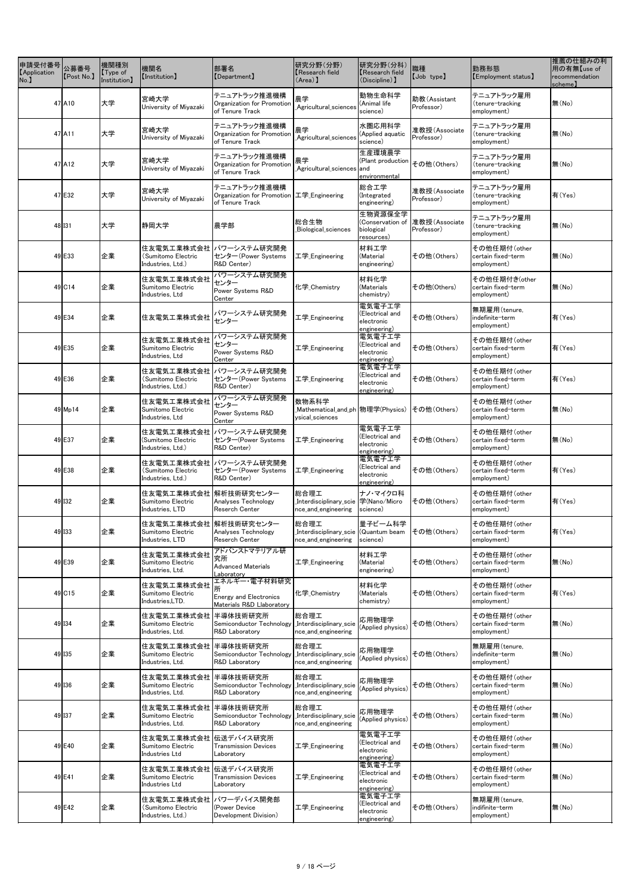| 申請受付番号<br><b>Application</b><br>No. | 公募番号<br>[Post No.]   | 機関種別<br>[Type of]<br>Institution] | 機関名<br>[Institution]                                           | 部署名<br>[Department]                                                          | 研究分野(分野)<br>Research field<br>$(Area)$ ]                             | 研究分野(分科)<br><b>Research field</b><br>(Discipline) 】     | 職種<br>[Job type]            | 勤務形態<br>[Employment status]                        | 推薦の仕組みの利<br>用の有無【use of<br>recommendation<br>scheme] |
|-------------------------------------|----------------------|-----------------------------------|----------------------------------------------------------------|------------------------------------------------------------------------------|----------------------------------------------------------------------|---------------------------------------------------------|-----------------------------|----------------------------------------------------|------------------------------------------------------|
|                                     | 47 A10               | 大学                                | 宮崎大学<br>University of Miyazaki                                 | テニュアトラック推進機構<br>Organization for Promotion<br>of Tenure Track                | 農学<br>Agricultural_sciences                                          | 動物生命科学<br>(Animal life<br>science)                      | 助教(Assistant<br>Professor)  | テニュアトラック雇用<br>(tenure-tracking<br>employment)      | 無(No)                                                |
|                                     | 47 A11               | 大学                                | 宮崎大学<br>University of Miyazaki                                 | テニュアトラック推進機構<br>Organization for Promotion<br>of Tenure Track                | 農学<br>_Agricultural_sciences                                         | 水圏応用科学<br>(Applied aquatic<br>science)                  | 准教授(Associate<br>Professor) | テニュアトラック雇用<br>(tenure-tracking<br>employment)      | 無(No)                                                |
|                                     | $47$ $A12$           | 大学                                | 宮崎大学<br>University of Miyazaki                                 | テニュアトラック推進機構<br>Organization for Promotion<br>of Tenure Track                | 農学<br>Agricultural_sciences and_                                     | 生産環境農学<br>(Plant production<br>environmental            | その他(Others)                 | テニュアトラック雇用<br>(tenure-tracking<br>employment)      | 無(No)                                                |
|                                     | 47 E32               | 大学                                | 宮崎大学<br>University of Miyazaki                                 | テニュアトラック推進機構<br>Organization for Promotion 工学 Engineering<br>of Tenure Track |                                                                      | 総合工学<br>(Integrated<br>engineering)                     | 准教授(Associate<br>Professor) | テニュアトラック雇用<br>(tenure-tracking<br>employment)      | 有(Yes)                                               |
|                                     | 48 131               | 大学                                | 静岡大学                                                           | 農学部                                                                          | 総合生物<br>Biological_sciences                                          | 生物資源保全学<br>(Conservation of<br>biological<br>resources) | 准教授(Associate<br>Professor) | テニュアトラック雇用<br>(tenure-tracking<br>employment)      | 無(No)                                                |
|                                     | 49 E33               | 企業                                | (Sumitomo Electric<br>Industries, Ltd.)                        | 住友電気工業株式会社 パワーシステム研究開発<br>センター (Power Systems<br>R&D Center)                 | 工学_Engineering                                                       | 材料工学<br>(Material<br>engineering)                       | その他(Others)                 | その他任期付(other<br>certain fixed-term<br>employment)  | 無(No)                                                |
|                                     | $49$ C <sub>14</sub> | 企業                                | 住友電気工業株式会社<br>Sumitomo Electric<br>Industries, Ltd             | パワーシステム研究開発<br>センター<br>Power Systems R&D<br>Center                           | 化学_Chemistry                                                         | 材料化学<br>(Materials<br>chemistry)                        | その他(Others)                 | その他任期付き(other<br>certain fixed-term<br>employment) | 無(No)                                                |
|                                     | 49 E34               | 企業                                | 住友電気工業株式会社                                                     | パワーシステム研究開発<br>センター                                                          | 工学_Engineering                                                       | 電気電子工学<br>(Electrical and<br>electronic<br>engineering) | その他(Others)                 | 無期雇用(tenure,<br>indefinite-term<br>employment)     | 有(Yes)                                               |
|                                     | 49 E35               | 企業                                | 住友電気工業株式会社<br>Sumitomo Electric<br>Industries, Ltd             | パワーシステム研究開発<br>センター<br>Power Systems R&D<br>Center                           | 工学_Engineering                                                       | 電気電子工学<br>(Electrical and<br>electronic<br>engineering) | その他(Others)                 | その他任期付(other<br>certain fixed-term<br>employment)  | 有(Yes)                                               |
|                                     | 49 E36               | 企業                                | (Sumitomo Electric<br>Industries, Ltd.)                        | 住友電気工業株式会社  パワーシステム研究開発<br>センター(Power Systems<br>R&D Center)                 | 工学_Engineering                                                       | 電気電子工学<br>(Electrical and<br>electronic<br>engineering) | その他(Others)                 | その他任期付(other<br>certain fixed-term<br>employment)  | 有(Yes)                                               |
|                                     | $49$ Mp14            | 企業                                | 住友電気工業株式会社<br>Sumitomo Electric<br>Industries, Ltd             | パワーシステム研究開発<br>センター<br>Power Systems R&D<br>Center                           | 数物系科学<br>ysical_sciences                                             |                                                         | その他(Others)                 | その他任期付(other<br>certain fixed-term<br>employment)  | 無(No)                                                |
|                                     | 49 E37               | 企業                                | 住友電気工業株式会社  <br>(Sumitomo Electric<br>Industries, Ltd.)        | パワーシステム研究開発<br>センター(Power Systems<br>R&D Center)                             | 工学_Engineering                                                       | 電気電子工学<br>(Electrical and<br>electronic<br>engineering) | その他(Others)                 | その他任期付(other<br>certain fixed-term<br>employment)  | 無(No)                                                |
|                                     | 49 E38               | 企業                                | (Sumitomo Electric<br>Industries, Ltd.)                        | 住友電気工業株式会社 パワーシステム研究開発<br>センター(Power Systems<br>R&D Center)                  | 工学_Engineering                                                       | 電気電子工学<br>(Electrical and<br>electronic<br>engineering) | その他(Others)                 | その他任期付(other<br>certain fixed-term<br>employment)  | 有(Yes)                                               |
|                                     | $49$ $132$           | 企業                                | 住友電気工業株式会社 解析技術研究センター<br>Sumitomo Electric<br>Industries, LTD  | Analyses Technology<br>Reserch Center                                        | 総合理工<br>_Interdisciplinary_scie  学(Nano/Micro<br>nce_and_engineering | ナノ・マイクロ科<br>science)                                    | その他(Others)                 | その他任期付(other<br>certain fixed-term<br>employment)  | 有(Yes)                                               |
|                                     | 49 133               | 企業                                | 住友電気工業株式会社 解析技術研究センター<br>Sumitomo Electric<br>Industries, LTD  | Analyses Technology<br>Reserch Center                                        | 総合理工<br>Interdisciplinary_scie (Quantum beam<br>nce_and_engineering  | 量子ビーム科学<br>science)                                     | その他(Others)                 | その他任期付(other<br>certain fixed-term<br>employment)  | 有(Yes)                                               |
|                                     | 49 E39               | 企業                                | 住友電気工業株式会社<br>Sumitomo Electric<br>Industries, Ltd.            | アドバンストマテリアル研<br>究所<br><b>Advanced Materials</b><br>Laboratory                | 工学 Engineering                                                       | 材料工学<br>(Material<br>engineering)                       | その他(Others)                 | その他任期付(other<br>certain fixed-term<br>employment)  | 無(No)                                                |
|                                     | $49$ C <sub>15</sub> | 企業                                | 住友電気工業株式会社<br>Sumitomo Electric<br>Industries, LTD.            | エネルギー・電子材料研究<br><b>Energy and Electronics</b><br>Materials R&D Llaboratory   | 化学_Chemistry                                                         | 材料化学<br>(Materials<br>chemistry)                        | その他(Others)                 | その他任期付(other<br>certain fixed-term<br>employment)  | 有(Yes)                                               |
|                                     | 49 134               | 企業                                | 住友電気工業株式会社  半導体技術研究所 <br>Sumitomo Electric<br>Industries, Ltd. | Semiconductor Technology<br>R&D Laboratory                                   | 総合理工<br>Interdisciplinary_scie<br>nce_and_engineering                | 応用物理学<br>(Applied physics)                              | その他(Others)                 | その他任期付(other<br>certain fixed-term<br>employment)  | 無(No)                                                |
|                                     | 49 135               | 企業                                | 住友電気工業株式会社<br>Sumitomo Electric<br>Industries, Ltd.            | 半導体技術研究所<br>Semiconductor Technology<br>R&D Laboratory                       | 総合理工<br>Interdisciplinary_scie<br>nce_and_engineering                | 応用物理学<br>(Applied physics)                              | その他(Others)                 | 無期雇用(tenure,<br>indefinite-term<br>employment)     | 無(No)                                                |
|                                     | 49 136               | 企業                                | 住友電気工業株式会社<br>Sumitomo Electric<br>Industries, Ltd.            | 半導体技術研究所<br>Semiconductor Technology<br>R&D Laboratory                       | 総合理工<br>Interdisciplinary_scie<br>nce_and_engineering                | 応用物理学<br>(Applied physics)                              | その他(Others)                 | その他任期付(other<br>certain fixed-term<br>employment)  | 無(No)                                                |
|                                     | 49 137               | 企業                                | 住友電気工業株式会社  <br>Sumitomo Electric<br>Industries, Ltd.          | 半導体技術研究所<br>Semiconductor Technology<br>R&D Laboratory                       | 総合理工<br>Interdisciplinary_scie<br>nce_and_engineering                | 応用物理学<br>(Applied physics)                              | その他(Others)                 | その他任期付(other<br>certain fixed-term<br>employment)  | 無(No)                                                |
|                                     | 49 E40               | 企業                                | 住友電気工業株式会社  伝送デバイス研究所<br>Sumitomo Electric<br>Industries Ltd   | <b>Transmission Devices</b><br>Laboratory                                    | 工学 Engineering                                                       | 電気電子工学<br>(Electrical and<br>electronic<br>engineering) | その他(Others)                 | その他任期付(other<br>certain fixed-term<br>employment)  | 無(No)                                                |
|                                     | 49 E41               | 企業                                | 住友電気工業株式会社 伝送デバイス研究所<br>Sumitomo Electric<br>Industries Ltd    | <b>Transmission Devices</b><br>Laboratory                                    | 工学 Engineering                                                       | 電気電子工学<br>(Electrical and<br>electronic<br>engineering) | その他(Others)                 | その他任期付(other<br>certain fixed-term<br>employment)  | 無(No)                                                |
|                                     | 49 E42               | 企業                                | 住友電気工業株式会社<br>(Sumitomo Electric<br>Industries, Ltd.)          | パワーデバイス開発部<br>(Power Device<br>Development Division)                         | 工学 Engineering                                                       | 電気電子工学<br>(Electrical and<br>electronic<br>engineering) | その他(Others)                 | 無期雇用(tenure,<br>indifinite-term<br>employment)     | 無(No)                                                |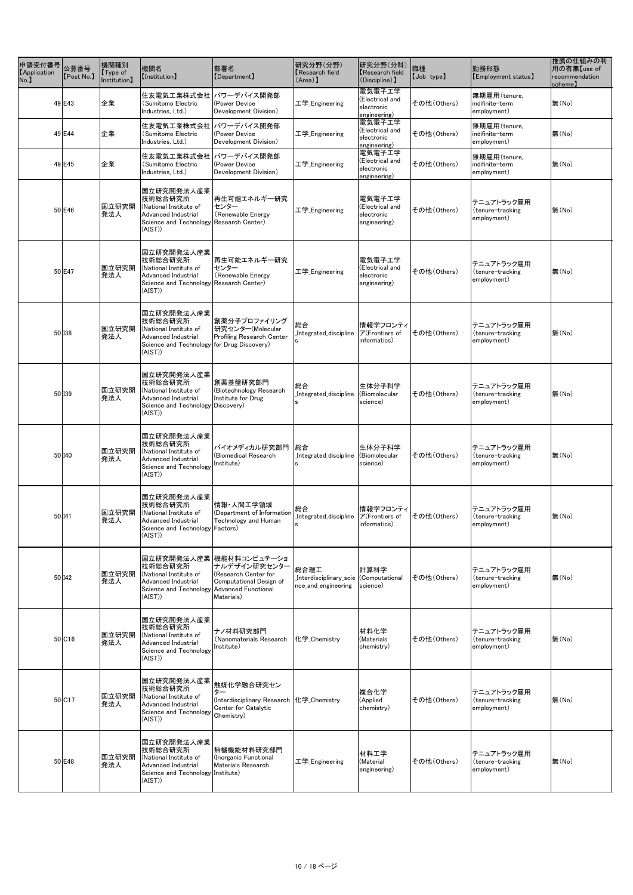| 申請受付番号<br><b>Application</b><br>No. | 公募番号<br>[Post No.]   | 機関種別<br>[Type of]<br>Institution] | 機関名<br>[Institution]                                                                                                            | 部署名<br><b>[Department]</b>                                                                               | 研究分野(分野)<br>Research field<br>$(Area)$ ]                                                              | 研究分野(分科)<br>Kesearch field<br>(Discipline) ]            | 職種<br>[Job type] | 勤務形態<br>[Employment status]                    | 推薦の仕組みの利<br>用の有無【use of<br>recommendation<br>scheme) |
|-------------------------------------|----------------------|-----------------------------------|---------------------------------------------------------------------------------------------------------------------------------|----------------------------------------------------------------------------------------------------------|-------------------------------------------------------------------------------------------------------|---------------------------------------------------------|------------------|------------------------------------------------|------------------------------------------------------|
|                                     | 49 E43               | 企業                                | 住友電気工業株式会社<br>(Sumitomo Electric<br>Industries, Ltd.)                                                                           | パワーデバイス開発部<br>(Power Device<br>Development Division)                                                     | 工学_Engineering                                                                                        | 電気電子工学<br>(Electrical and<br>electronic<br>engineering) | その他(Others)      | 無期雇用(tenure,<br>indifinite-term<br>employment) | 無(No)                                                |
|                                     | 49 E44               | 企業                                | 住友電気工業株式会社<br>(Sumitomo Electric<br>Industries, Ltd.)                                                                           | パワーデバイス開発部<br>(Power Device<br>Development Division)                                                     | 工学_Engineering                                                                                        | 電気電子工学<br>(Electrical and<br>electronic<br>engineering) | その他(Others)      | 無期雇用(tenure,<br>indifinite-term<br>employment) | 無(No)                                                |
|                                     | 49 E45               | 企業                                | 住友電気工業株式会社<br>(Sumitomo Electric<br>Industries, Ltd.)                                                                           | パワーデバイス開発部<br>(Power Device<br>Development Division)                                                     | 工学_Engineering                                                                                        | 電気電子工学<br>(Electrical and<br>electronic<br>engineering) | その他(Others)      | 無期雇用(tenure,<br>indifinite-term<br>employment) | 無(No)                                                |
|                                     | 50 E46               | 国立研究開<br>発法人                      | 国立研究開発法人産業<br>技術総合研究所<br>(National Institute of<br>Advanced Industrial<br>Science and Technology Research Center)<br>$(AIST)$ ) | 再生可能エネルギー研究<br>センター<br>(Renewable Energy                                                                 | 工学_Engineering                                                                                        | 電気電子工学<br>(Electrical and<br>electronic<br>engineering) | その他(Others)      | テニュアトラック雇用<br>(tenure-tracking<br>employment)  | 無(No)                                                |
|                                     | 50 E47               | 国立研究開<br>発法人                      | 国立研究開発法人産業<br>技術総合研究所<br>(National Institute of<br>Advanced Industrial<br>Science and Technology Research Center)<br>(AIST)     | 再生可能エネルギー研究<br>センター<br>(Renewable Energy                                                                 | 工学_Engineering                                                                                        | 電気電子工学<br>(Electrical and<br>electronic<br>engineering) | その他(Others)      | テニュアトラック雇用<br>(tenure-tracking<br>employment)  | 無(No)                                                |
|                                     | 50 138               | 国立研究開<br>発法人                      | 国立研究開発法人産業<br>技術総合研究所<br>(National Institute of<br>Advanced Industrial<br>Science and Technology for Drug Discovery)<br>(AIST)  | 創薬分子プロファイリング<br>研究センター(Molecular<br><b>Profiling Research Center</b>                                     | 総合<br>_Integrated_discipline $ \mathcal{F}% (A) = \mathcal{F}(A) $ $\mathcal{F}(A)$ frontiers of<br>s | 情報学フロンティ<br>informatics)                                | その他(Others)      | テニュアトラック雇用<br>(tenure-tracking<br>employment)  | 無(No)                                                |
|                                     | 50 139               | 国立研究開<br>発法人                      | 国立研究開発法人産業<br>技術総合研究所<br>(National Institute of<br>Advanced Industrial<br>Science and Technology Discovery)<br>$(AIST)$ )       | 創薬基盤研究部門<br>(Biotechnology Research<br>Institute for Drug                                                | 総合<br>Integrated_discipline                                                                           | 生体分子科学<br>(Biomolecular<br>science)                     | その他(Others)      | テニュアトラック雇用<br>(tenure-tracking<br>employment)  | 無(No)                                                |
|                                     | 50 140               | 国立研究開<br>発法人                      | 国立研究開発法人産業<br>技術総合研究所<br>(National Institute of<br><b>Advanced Industrial</b><br>Science and Technology<br>(AIST)               | バイオメディカル研究部門<br>(Biomedical Research<br>Institute)                                                       | 総合<br>Integrated_discipline                                                                           | 生体分子科学<br>(Biomolecular<br>science)                     | その他(Others)      | テニュアトラック雇用<br>(tenure-tracking<br>employment)  | 無(No)                                                |
|                                     | 50 I41               | 国立研究開<br>発法人                      | 国立研究開発法人産業<br>技術総合研究所<br>(National Institute of<br><b>Advanced Industrial</b><br>Science and Technology Factors)<br>(AIST)      | 情報・人間工学領域<br>(Department of Information<br>Technology and Human                                          | 総合<br>Integrated discipline                                                                           | 情報学フロンティ<br>ア(Frontiers of<br>informatics)              | その他(Others)      | テニュアトラック雇用<br>(tenure-tracking<br>employment)  | 無(No)                                                |
|                                     | 50 I42               | 国立研究開<br>発法人                      | 技術総合研究所<br>(National Institute of<br>Advanced Industrial<br>Science and Technology Advanced Functional<br>(AIST)                | 国立研究開発法人産業 機能材料コンピュテーショ<br>ナルデザイン研究センター<br>(Research Center for<br>Computational Design of<br>Materials) | 総合理工<br>Interdisciplinary_scie (Computational<br>nce_and_engineering                                  | 計算科学<br>science)                                        | その他(Others)      | テニュアトラック雇用<br>(tenure-tracking<br>employment)  | 無(No)                                                |
|                                     | $50$ C <sub>16</sub> | 国立研究開<br>発法人                      | 国立研究開発法人産業<br>技術総合研究所<br>(National Institute of<br>Advanced Industrial<br>Science and Technology<br>(AIST)                      | ナノ材料研究部門<br>(Nanomaterials Research<br>Institute)                                                        | 化学_Chemistry                                                                                          | 材料化学<br>(Materials<br>chemistry)                        | その他(Others)      | テニュアトラック雇用<br>(tenure-tracking<br>employment)  | 無(No)                                                |
|                                     | 50 C17               | 国立研究開<br>発法人                      | 国立研究開発法人産業<br>技術総合研究所<br>(National Institute of<br>Advanced Industrial<br>Science and Technology<br>(AIST)                      | 触媒化学融合研究セン<br>ター<br>(Interdisciplinary Research<br>Center for Catalytic<br>Chemistry)                    | 化学 Chemistry                                                                                          | 複合化学<br>(Applied<br>chemistry)                          | その他(Others)      | テニュアトラック雇用<br>(tenure-tracking<br>employment)  | 無(No)                                                |
|                                     | 50 E48               | 国立研究開<br>発法人                      | 国立研究開発法人産業<br>技術総合研究所<br>(National Institute of<br><b>Advanced Industrial</b><br>Science and Technology Institute)<br>(AIST)    | 無機機能材料研究部門<br>(Inorganic Functional<br><b>Materials Research</b>                                         | 工学 <sub>_</sub> Engineering                                                                           | 材料工学<br>(Material<br>engineering)                       | その他(Others)      | テニュアトラック雇用<br>(tenure-tracking<br>employment)  | 無(No)                                                |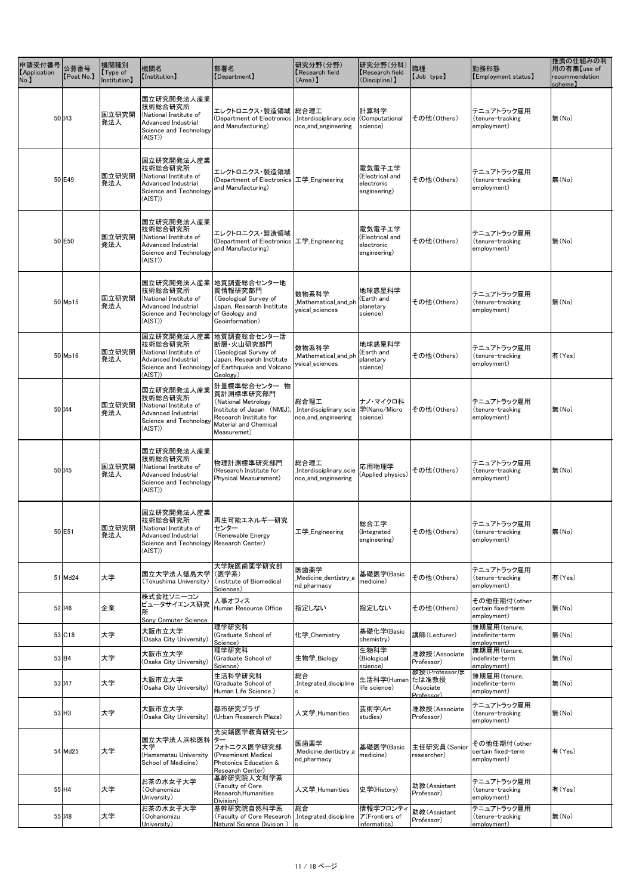| 申請受付番号<br><b>Application</b><br>No. | 公募番号<br>[Post No.]  | 機関種別<br>[Type of]<br>Institution] | 機関名<br>[Institution]                                                                                                               | 部署名<br>[Department]                                                                                                                                        | 研究分野(分野)<br>Research field<br>$(Area)$ ]                             | 研究分野(分科)<br>Kesearch field<br>(Discipline) ]            | 職種<br>[Job type]                                   | 勤務形態<br>[Employment status]                       | 推薦の仕組みの利<br>用の有無【use of<br>recommendation<br>scheme) |
|-------------------------------------|---------------------|-----------------------------------|------------------------------------------------------------------------------------------------------------------------------------|------------------------------------------------------------------------------------------------------------------------------------------------------------|----------------------------------------------------------------------|---------------------------------------------------------|----------------------------------------------------|---------------------------------------------------|------------------------------------------------------|
|                                     | 50 I43              | 国立研究開<br>発法人                      | 国立研究開発法人産業<br> 技術総合研究所<br>(National Institute of<br><b>Advanced Industrial</b><br>Science and Technology<br>(AIST)                 | エレクトロニクス・製造領域  総合理工<br>(Department of Electronics<br>and Manufacturing)                                                                                    | Interdisciplinary_scie (Computational<br>nce_and_engineering         | 計算科学<br>science)                                        | その他(Others)                                        | テニュアトラック雇用<br>(tenure-tracking<br>employment)     | 無(No)                                                |
|                                     | 50 E49              | 国立研究開<br>発法人                      | 国立研究開発法人産業<br>技術総合研究所<br>(National Institute of<br>Advanced Industrial<br>Science and Technology<br>(AIST)                         | エレクトロニクス・製造領域<br>(Department of Electronics 工学 Engineering<br>and Manufacturing)                                                                           |                                                                      | 電気電子工学<br>(Electrical and<br>electronic<br>engineering) | その他(Others)                                        | テニュアトラック雇用<br>(tenure-tracking<br>employment)     | 無(No)                                                |
|                                     | 50 E50              | 国立研究開<br>発法人                      | 国立研究開発法人産業<br>技術総合研究所<br>(National Institute of<br><b>Advanced Industrial</b><br>Science and Technology<br>(AIST)                  | エレクトロニクス・製造領域<br>(Department of Electronics 工学_Engineering<br>and Manufacturing)                                                                           |                                                                      | 電気電子工学<br>(Electrical and<br>electronic<br>engineering) | その他(Others)                                        | テニュアトラック雇用<br>(tenure-tracking<br>employment)     | 無(No)                                                |
|                                     | $50$ Mp15           | 国立研究開<br>発法人                      | 技術総合研究所<br>(National Institute of<br><b>Advanced Industrial</b><br>Science and Technology of Geology and<br>(AIST)                 | 国立研究開発法人産業 地質調査総合センター地<br>質情報研究部門<br>(Geological Survey of<br>Japan, Research Institute<br>Geoinformation)                                                 | 数物系科学<br>Mathematical_and_ph<br>ysical sciences                      | 地球惑星科学<br>(Earth and<br>planetary<br>science)           | その他(Others)                                        | テニュアトラック雇用<br>(tenure-tracking<br>employment)     | 無(No)                                                |
|                                     | $50$ Mp16           | 国立研究開<br>発法人                      | 技術総合研究所<br>(National Institute of<br>Advanced Industrial<br>(AIST)                                                                 | 国立研究開発法人産業 地質調査総合センター活<br> 断層・火山研究部門<br>(Geological Survey of<br>Japan, Research Institute<br>Science and Technology of Earthquake and Volcano<br>Geology) | 数物系科学<br>Mathematical and ph<br>ysical_sciences                      | 地球惑星科学<br>(Earth and<br>planetary<br>science)           | その他(Others)                                        | テニュアトラック雇用<br>(tenure-tracking<br>employment)     | 有(Yes)                                               |
|                                     | 50 144              | 国立研究開<br>発法人                      | 国立研究開発法人産業<br>技術総合研究所<br>(National Institute of<br>Advanced Industrial<br>Science and Technology<br>(AIST)                         | 計量標準総合センター 物<br>質計測標準研究部門<br>(National Metrology)<br>Institute of Japan (NMIJ)<br>Research Institute for<br>Material and Chemical<br>Measuremet)           | 総合理工<br>_Interdisciplinary_scie  学(Nano/Micro<br>nce_and_engineering | ナノ・マイクロ科<br>science)                                    | その他(Others)                                        | テニュアトラック雇用<br>(tenure-tracking<br>employment)     | 無(No)                                                |
|                                     | 50 I45              | 国立研究開<br>発法人                      | 国立研究開発法人産業<br>技術総合研究所<br>(National Institute of<br><b>Advanced Industrial</b><br>Science and Technology<br>(AIST)                  | 物理計測標準研究部門<br>(Research Institute for<br>Physical Measurement)                                                                                             | 総合理工<br>Interdisciplinary_scie<br>nce_and_engineering                | 応用物理学<br>(Applied physics)                              | その他(Others)                                        | テニュアトラック雇用<br>(tenure-tracking<br>employment)     | 無(No)                                                |
|                                     | 50 E51              | 国立研究開<br>発法人                      | 国立研究開発法人産業<br>技術総合研究所<br>(National Institute of<br><b>Advanced Industrial</b><br>Science and Technology Research Center)<br>(AIST) | 再生可能エネルギー研究<br>センター<br>(Renewable Energy                                                                                                                   | 工学 Engineering                                                       | 総合工学<br>(Integrated<br>engineering)                     | その他(Others)                                        | 「テニュアトラック雇用<br>(tenure-tracking<br>employment)    | 無(No)                                                |
|                                     | 51 Md24             | 大学                                | 国立大学法人徳島大学<br>(Tokushima University)                                                                                               | 大学院医歯薬学研究部<br>(医学系)<br>(institute of Biomedical<br>Sciences)                                                                                               | 医歯薬学<br>Medicine_dentistry_a<br>nd_pharmacy                          | 基礎医学(Basic<br>medicine)                                 | その他 (Others)                                       | テニュアトラック雇用<br>(tenure-tracking<br>employment)     | 有(Yes)                                               |
|                                     | 52 I46              | 企業                                | 株式会社ソニーコン<br>ピュータサイエンス研究<br>所<br>Sony Comuter Science                                                                              | 人事オフィス<br>Human Resource Office                                                                                                                            | 指定しない                                                                | 指定しない                                                   | その他(Others)                                        | その他任期付(other<br>certain fixed-term<br>employment) | 無(No)                                                |
|                                     | 53 C18              | 大学                                | 大阪市立大学<br>(Osaka City University)                                                                                                  | 理学研究科<br>(Graduate School of<br>Science)                                                                                                                   | 化学 Chemistry                                                         | 基礎化学(Basic<br>chemistry)                                | 講師(Lecturer)                                       | 無期雇用(tenure,<br>indefinite-term<br>employment)    | 無(No)                                                |
|                                     | 53 B4               | 大学                                | 大阪市立大学<br>(Osaka City University)                                                                                                  | 理学研究科<br>(Graduate School of<br>Science)                                                                                                                   | 生物学_Biology                                                          | 生物科学<br>(Biological<br>science)                         | 准教授(Associate<br>Professor)                        | 無期雇用(tenure,<br>indefinite-term<br>employment)    | 無(No)                                                |
|                                     | 53 I47              | 大学                                | 大阪市立大学<br>(Osaka City University)                                                                                                  | 生活科学研究科<br>(Graduate School of<br>Human Life Science)                                                                                                      | 総合<br>Integrated_discipline                                          | 生活科学(Human<br>life science)                             | 教授(Professor)ま<br>たは准教授<br>(Asociate<br>Professor) | 無期雇用(tenure,<br>indefinite-term<br>employment)    | 無(No)                                                |
|                                     | $53$ H <sub>3</sub> | 大学                                | 大阪市立大学<br>(Osaka City University)                                                                                                  | 都市研究プラザ<br>(Urban Research Plaza)                                                                                                                          | 人文学_Humanities                                                       | 芸術学(Art<br>studies)                                     | 准教授(Associate<br>Professor)                        | テニュアトラック雇用<br>(tenure-tracking<br>employment)     | 無(No)                                                |
|                                     | 54 Md25             | 大学                                | 国立大学法人浜松医科 ター<br>大学<br>(Hamamatsu University<br>School of Medicine)                                                                | 光尖端医学教育研究セン<br>フォトニクス医学研究部<br>(Preeminent Medical<br>Photonics Education &<br>Research Center)                                                             | 医歯薬学<br>Medicine_dentistry_a<br>nd_pharmacy                          | 基礎医学(Basic<br>medicine)                                 | 主任研究員(Senior<br>researcher)                        | その他任期付(other<br>certain fixed-term<br>employment) | 有(Yes)                                               |
|                                     | $55$ H4             | 大学                                | お茶の水女子大学<br>(Ochanomizu<br>University)                                                                                             | 基幹研究院人文科学系<br>(Faculty of Core<br>Research, Humanities<br>Division)                                                                                        | 人文学_Humanities                                                       | 史学(History)                                             | 助教(Assistant<br>Professor)                         | テニュアトラック雇用<br>(tenure-tracking<br>employment)     | 有(Yes)                                               |
|                                     | 55 148              | 大学                                | お茶の水女子大学<br>(Ochanomizu<br>University)                                                                                             | 基幹研究院自然科学系<br>(Faculty of Core Research   Integrated discipline<br>Natural Science Division)                                                               | 総合                                                                   | 情報学フロンティ<br>$\mathcal{F}$ (Frontiers of<br>informatics) | 助教(Assistant<br>Professor)                         | テニュアトラック雇用<br>(tenure-tracking<br>employment)     | 無(No)                                                |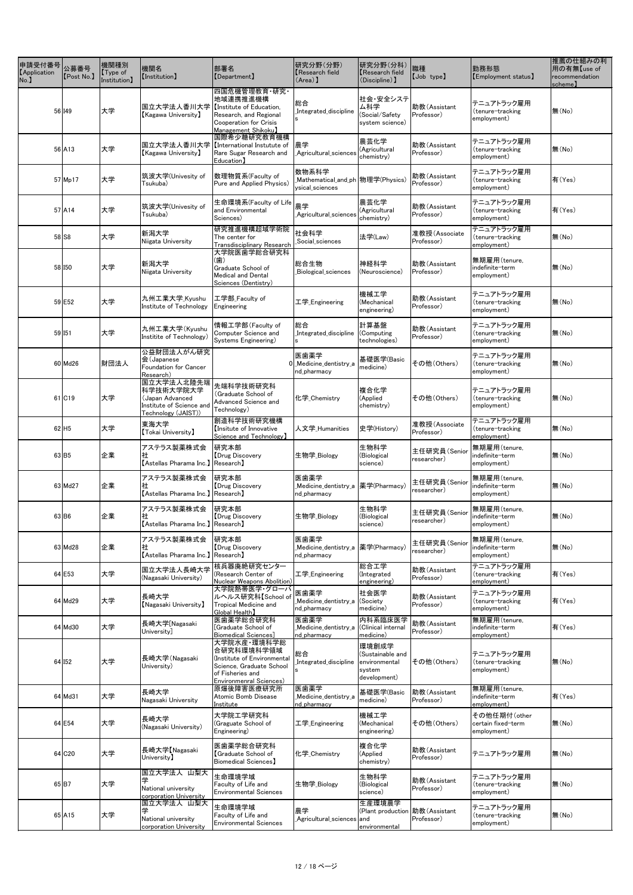| 申請受付番号<br><b>Application</b><br>No. | 公募番号<br>[Post No.]  | 機関種別<br>[Type of]<br>Institution] | 機関名<br>[Institution]                                                                           | 部署名<br>[Department]                                                                                                                  | 研究分野(分野)<br>Research field<br>$(Area)$ ]                   | 研究分野(分科)<br><b>Research field</b><br>(Discipline) ]                  | 職種<br>[Job type]            | 勤務形態<br>[Employment status]                       | 推薦の仕組みの利<br>用の有無【use of<br>recommendation<br>scheme) |
|-------------------------------------|---------------------|-----------------------------------|------------------------------------------------------------------------------------------------|--------------------------------------------------------------------------------------------------------------------------------------|------------------------------------------------------------|----------------------------------------------------------------------|-----------------------------|---------------------------------------------------|------------------------------------------------------|
|                                     | 56 I49              | 大学                                | l国立大学法人香川大学<br>Kagawa University】                                                              | 四国危機管理教育·研究·<br>地域連携推進機構<br>Institute of Education,<br>Research, and Regional<br><b>Cooperation for Crisis</b><br>Management Shikoku | 総合<br>Integrated_discipline                                | 社会・安全システ<br>ム科学<br>(Social/Safety<br>system science)                 | 助教(Assistant<br>Professor)  | テニュアトラック雇用<br>(tenure-tracking<br>employment)     | 無(No)                                                |
|                                     | 56 A13              | 大学                                | l国立大学法人香川大学<br>$\sf [Kagawa$ University $\sf ]$                                                | 国際希少糖研究教育機構<br>International Instutute of<br>Rare Sugar Research and<br>Education】                                                   | 農学<br>Agricultural_sciences_                               | 農芸化学<br>(Agricultural<br>chemistry)                                  | 助教(Assistant<br>Professor)  | テニュアトラック雇用<br>(tenure-tracking<br>employment)     | 無(No)                                                |
|                                     | 57 Mp17             | 大学                                | 筑波大学(Univesity of<br>Tsukuba)                                                                  | 数理物質系(Faculty of<br>Pure and Applied Physics)                                                                                        | 数物系科学<br>ysical_sciences                                   |                                                                      | 助教(Assistant<br>Professor)  | テニュアトラック雇用<br>(tenure-tracking<br>employment)     | 有(Yes)                                               |
|                                     | 57 A14              | 大学                                | 筑波大学(Univesity of<br>Tsukuba)                                                                  | 生命環境系(Faculty of Life<br>and Environmental<br>Sciences)                                                                              | 農学<br>Agricultural_sciences_                               | 農芸化学<br>(Agricultural<br>chemistry)                                  | 助教(Assistant<br>Professor)  | テニュアトラック雇用<br>(tenure-tracking<br>employment)     | 有(Yes)                                               |
|                                     | 58 S8               | 大学                                | 新潟大学<br>Niigata University                                                                     | 研究推進機構超域学術院<br>The center for<br><b>Transdisciplinary Research</b>                                                                   | 社会科学<br>Social_sciences                                    | 法学(Law)                                                              | 准教授(Associate<br>Professor) | テニュアトラック雇用<br>(tenure-tracking<br>employment)     | 無(No)                                                |
|                                     | 58 150              | 大学                                | 新潟大学<br>Niigata University                                                                     | 大学院医歯学総合研究科<br>(歯)<br>Graduate School of<br><b>Medical and Dental</b><br>Sciences (Dentistry)                                        | 総合生物<br>Biological_sciences                                | 神経科学<br>(Neuroscience)                                               | 助教(Assistant<br>Professor)  | 無期雇用(tenure,<br>indefinite-term<br>employment)    | 無(No)                                                |
|                                     | 59 E52              | 大学                                | 九州工業大学_Kyushu<br>Institute of Technology                                                       | 工学部_Faculty of<br>Engineering                                                                                                        | 工学_Engineering                                             | 機械工学<br>(Mechanical<br>engineering)                                  | 助教(Assistant<br>Professor)  | テニュアトラック雇用<br>(tenure-tracking<br>employment)     | 無(No)                                                |
|                                     | 59 I51              | 大学                                | 九州工業大学(Kyushu<br>Institite of Technology)                                                      | 情報工学部(Faculty of<br>Computer Science and<br>Systems Engineering)                                                                     | 総合<br>Integrated_discipline (Computing<br>S.               | 計算基盤<br>technologies)                                                | 助教(Assistant<br>Professor)  | テニュアトラック雇用<br>(tenure-tracking)<br>employment)    | 無(No)                                                |
|                                     | 60 Md26             | 財団法人                              | 公益財団法人がん研究<br>会(Japanese<br>Foundation for Cancer<br>Research)                                 |                                                                                                                                      | 医歯薬学<br>0 Medicine_dentistry_a<br>nd_pharmacy              | 基礎医学(Basic<br>medicine)                                              | その他(Others)                 | テニュアトラック雇用<br>(tenure-tracking<br>employment)     | 無(No)                                                |
|                                     | 61 C19              | 大学                                | 国立大学法人北陸先端<br> 科学技術大学院大学<br>(Japan Advanced<br>Institute of Science and<br>Technology (JAIST)) | 先端科学技術研究科<br>(Graduate School of<br>Advanced Science and<br>Technology)                                                              | 化学 Chemistry                                               | 複合化学<br>(Applied<br>chemistry)                                       | その他(Others)                 | テニュアトラック雇用<br>(tenure-tracking<br>employment)     | 無(No)                                                |
|                                     | $62$ H <sub>5</sub> | 大学                                | 東海大学<br>[Tokai University]                                                                     | 創造科学技術研究機構<br>Insitute of Innovative<br>Science and Technology                                                                       | 人文学_Humanities                                             | 史学(History)                                                          | 准教授(Associate<br>Professor) | テニュアトラック雇用<br>(tenure-tracking<br>employment)     | 無(No)                                                |
|                                     | 63 B5               | 企業                                | アステラス製薬株式会<br>[Astellas Pharama Inc.] Research]                                                | 研究本部<br>Drug Discovery                                                                                                               | 生物学_Biology                                                | 生物科学<br>(Biological<br>science)                                      | 主任研究員(Senior<br>researcher) | 無期雇用(tenure,<br>indefinite-term<br>employment)    | 無(No)                                                |
|                                     | 63 Md27             | 企業                                | アステラス製薬株式会<br>ſΙ<br>[Astellas Pharama Inc.] Research]                                          | 研究本部<br>Drug Discovery                                                                                                               | 医歯薬学<br>_Medicine_dentistry_a  薬学(Pharmacy)<br>nd_pharmacy |                                                                      | 主任研究員(Senior<br>researcher) | 無期雇用(tenure,<br>indefinite-term<br>employment)    | 無(No)                                                |
|                                     | $63$ B6             | 企業                                | アステラス製薬株式会<br>社<br><b>[Astellas Pharama Inc.] Research]</b>                                    | 研究本部<br>Drug Discovery                                                                                                               | 生物学_Biology                                                | 生物科学<br>(Biological<br>science)                                      | 主任研究員(Senior<br>researcher) | 無期雇用(tenure,<br>indefinite-term<br>employment)    | 無(No)                                                |
|                                     | 63 Md28             | 企業                                | アステラス製薬株式会<br>[Astellas Pharama Inc.] Research]                                                | 研究本部<br>Drug Discovery                                                                                                               | 医歯薬学<br>_Medicine_dentistry_a  薬学(Pharmacy)<br>nd_pharmacy |                                                                      | 主任研究員(Senior<br>researcher) | 無期雇用(tenure,<br>indefinite-term<br>employment)    | 無(No)                                                |
|                                     | 64 E53              | 大学                                | 国立大学法人長崎大学<br>(Nagasaki University)                                                            | 核兵器廃絶研究センター<br>(Research Center of<br>Nuclear Weapons Abolition)                                                                     | 工学_Engineering                                             | 総合工学<br>(Integrated<br>engineering)                                  | 助教(Assistant<br>Professor)  | テニュアトラック雇用<br>(tenure-tracking<br>employment)     | 有(Yes)                                               |
|                                     | 64 Md29             | 大学                                | 長崎大学<br>[Nagasaki University]                                                                  | 大学院熱帯医学・グローバ<br>ルヘルス研究科【School of<br>Tropical Medicine and<br>Global Health】                                                         | 医歯薬学<br>_Medicine_dentistry_a<br>nd_pharmacy               | 社会医学<br>(Society)<br>medicine)                                       | 助教(Assistant<br>Professor)  | テニュアトラック雇用<br>(tenure-tracking<br>employment)     | 有(Yes)                                               |
|                                     | 64 Md30             | 大学                                | 長崎大学[Nagasaki<br>University]                                                                   | 医歯薬学総合研究科<br>[Graduate School of<br>Biomedical Sciences]                                                                             | 医歯薬学<br>_Medicine_dentistry_a<br>nd_pharmacy               | 内科系臨床医学 <br>Clinical internal<br>medicine)                           | 助教(Assistant<br>Professor)  | 無期雇用(tenure,<br>indefinite-term<br>employment)    | 有(Yes)                                               |
|                                     | 64 152              | 大学                                | 長崎大学(Nagasaki<br>University)                                                                   | 大学院水産·環境科学総<br>合研究科環境科学領域<br>(Institute of Environmental<br>Science, Graduate School<br>of Fisheries and<br>Environmenral Sciences)  | 総合<br>Integrated_discipline                                | 環境創成学<br>(Sustainable and<br>environmental<br>system<br>development) | その他(Others)                 | テニュアトラック雇用<br>(tenure-tracking<br>employment)     | 無(No)                                                |
|                                     | 64 Md31             | 大学                                | 長崎大学<br>Nagasaki University                                                                    | 原爆後障害医療研究所<br><b>Atomic Bomb Disease</b><br>Institute                                                                                | 医歯薬学<br>Medicine_dentistry_a_<br>nd_pharmacy               | 基礎医学(Basic<br>medicine)                                              | 助教(Assistant<br>Professor)  | 無期雇用(tenure,<br>indefinite-term<br>employment)    | 有(Yes)                                               |
|                                     | 64 E54              | 大学                                | 長崎大学<br>(Nagasaki University)                                                                  | 大学院工学研究科<br>(Graguate School of<br>Engineering)                                                                                      | 工学 Engineering                                             | 機械工学<br>(Mechanical<br>engineering)                                  | その他(Others)                 | その他任期付(other<br>certain fixed-term<br>employment) | 無(No)                                                |
|                                     | 64 C20              | 大学                                | 長崎大学【Nagasaki<br>University)                                                                   | 医歯薬学総合研究科<br>Graduate School of<br>Biomedical Sciences】                                                                              | 化学 Chemistry                                               | 複合化学<br>(Applied<br>chemistry)                                       | 助教(Assistant<br>Professor)  | テニュアトラック雇用                                        | 無(No)                                                |
|                                     | 65 B7               | 大学                                | 国立大学法人 山梨大<br>National university<br>corporation University                                    | 生命環境学域<br>Faculty of Life and<br><b>Environmental Sciences</b>                                                                       | 生物学_Biology                                                | 生物科学<br>(Biological<br>science)                                      | 助教(Assistant<br>Professor)  | テニュアトラック雇用<br>(tenure-tracking<br>employment)     | 無(No)                                                |
|                                     | 65 A15              | 大学                                | 国立大学法人 山梨大<br>National university<br>corporation University                                    | 生命環境学域<br>Faculty of Life and<br><b>Environmental Sciences</b>                                                                       | 農学<br>_Agricultural_sciences and                           | 生産環境農学<br>(Plant production   助教 (Assistant<br>environmental         | Professor)                  | テニュアトラック雇用<br>(tenure-tracking<br>employment)     | 無(No)                                                |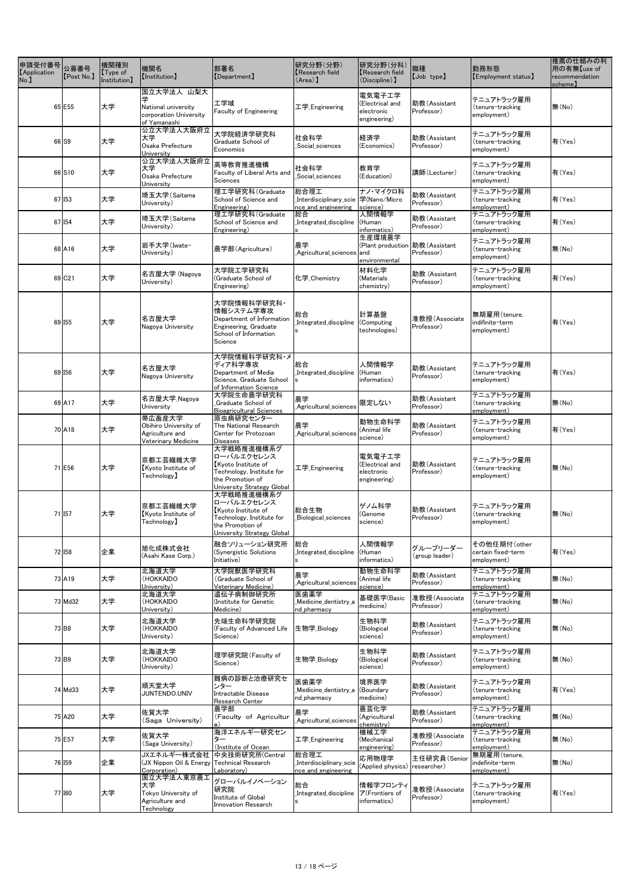| 申請受付番号<br><b>[Application</b><br>No. | 公募番号<br>[Post No.]  | 機関種別<br>$\mathsf{Type}$ of<br>Institution] | 機関名<br>[Institution]                                                            | 部署名<br>[Department]                                                                                                            | 研究分野(分野)<br>Research field<br>$(Area)$ ]              | 研究分野(分科)<br><b>Research field</b><br>(Discipline) ]          | 職種<br>[Job type]            | 勤務形態<br>[Employment status]                       | 推薦の仕組みの利<br>用の有無【use of<br>recommendation<br>scheme) |
|--------------------------------------|---------------------|--------------------------------------------|---------------------------------------------------------------------------------|--------------------------------------------------------------------------------------------------------------------------------|-------------------------------------------------------|--------------------------------------------------------------|-----------------------------|---------------------------------------------------|------------------------------------------------------|
|                                      | 65 E55              | 大学                                         | 国立大学法人 山梨大<br>National university<br>corporation University<br>of Yamanashi     | エ学域<br><b>Faculty of Engineering</b>                                                                                           | 工学_Engineering                                        | 電気電子工学<br>(Electrical and<br>electronic<br>engineering)      | 助教(Assistant<br>Professor)  | テニュアトラック雇用<br>(tenure-tracking<br>employment)     | 無(No)                                                |
|                                      | 66 S9               | 大学                                         | 公立大学法人大阪府立<br>大学<br>Osaka Prefecture<br>University                              | 大学院経済学研究科<br>Graduate School of<br>Economics                                                                                   | 社会科学<br>Social sciences                               | 経済学<br>(Economics)                                           | 助教(Assistant<br>Professor)  | テニュアトラック雇用<br>(tenure-tracking<br>employment)     | 有(Yes)                                               |
|                                      | 66 S10              | 大学                                         | 公立大学法人大阪府立<br>大学<br>Osaka Prefecture<br>University                              | 高等教育推進機構<br>Faculty of Liberal Arts and<br>Sciences                                                                            | 社会科学<br>Social_sciences                               | 教育学<br>(Education)                                           | 講師(Lecturer)                | テニュアトラック雇用<br>(tenure-tracking<br>employment)     | 有(Yes)                                               |
|                                      | 67 153              | 大学                                         | 埼玉大学(Saitama<br>University)                                                     | 理工学研究科(Graduate<br>School of Science and<br>Engineering)                                                                       | 総合理工<br>nce_and_engineering                           | ナノ・マイクロ科<br>science)                                         | 助教(Assistant<br>Professor)  | テニュアトラック雇用<br>(tenure-tracking<br>employment)     | 有(Yes)                                               |
|                                      | 67 I <sub>54</sub>  | 大学                                         | 埼玉大学(Saitama<br>University)                                                     | 理工学研究科(Graduate<br>School of Science and<br>Engineering)                                                                       | 総合<br>Integrated_discipline                           | 人間情報学<br>(Human<br>informatics)                              | 助教(Assistant<br>Professor)  | テニュアトラック雇用<br>(tenure-tracking<br>employment)     | 有(Yes)                                               |
|                                      | 68 A16              | 大学                                         | │岩手大学(Iwate-<br>University)                                                     | 農学部(Agriculture)                                                                                                               | 農学<br>_Agricultural_sciences and                      | 生産環境農学<br>(Plant production   助教 (Assistant<br>environmental | Professor)                  | テニュアトラック雇用<br>(tenure-tracking<br>employment)     | 無(No)                                                |
|                                      | 69 C <sub>21</sub>  | 大学                                         | 名古屋大学 (Nagoya<br>University)                                                    | 大学院工学研究科<br>(Graduate School of<br>Engineering)                                                                                | 化学 Chemistry                                          | 材料化学<br>(Materials<br>chemistry)                             | 助教 (Assistant<br>Professor) | テニュアトラック雇用<br>(tenure-tracking<br>employment)     | 有(Yes)                                               |
|                                      | 69 155              | 大学                                         | 名古屋大学<br>Nagoya University                                                      | 大学院情報科学研究科・<br> 情報システム学専攻<br>Department of Information<br>Engineering, Graduate<br>School of Information<br>Science            | 総合<br>Integrated_discipline                           | 計算基盤<br>(Computing<br>technologies)                          | 准教授(Associate<br>Professor) | 無期雇用(tenure,<br>indifinite-term<br>employment)    | 有(Yes)                                               |
|                                      | 69 156              | 大学                                         | 名古屋大学<br>Nagoya University                                                      | 大学院情報科学研究科・メ<br>ディア科学専攻<br>Department of Media<br>Science, Graduate School<br>of Information Science                           | 総合<br>Integrated_discipline                           | 人間情報学<br>(Human<br>informatics)                              | 助教(Assistant<br>Professor)  | テニュアトラック雇用<br>(tenure-tracking<br>employment)     | 有(Yes)                                               |
|                                      | 69 A17              | 大学                                         | 名古屋大学_Nagoya<br>University                                                      | 大学院生命農学研究科<br>Graduate School of<br><b>Bioagricultural Sciences</b>                                                            | 農学<br>Agricultural_sciences                           | 限定しない                                                        | 助教(Assistant<br>Professor)  | テニュアトラック雇用<br>(tenure-tracking<br>employment)     | 無(No)                                                |
|                                      | 70 A18              | 大学                                         | 帯広畜産大学<br>Obihiro University of<br>Agriculture and<br>Veterinary Medicine       | 原虫病研究センター<br>The National Research<br>Center for Protozoan<br>Diseases                                                         | 農学<br>Agricultural_sciences_                          | 動物生命科学<br>(Animal life<br>science)                           | 助教(Assistant<br>Professor)  | テニュアトラック雇用<br>(tenure-tracking<br>employment)     | 有(Yes)                                               |
|                                      | 71 E56              | 大学                                         | 京都工芸繊維大学<br>Kyoto Institute of<br>$\mathsf{Technology}$                         | 大学戦略推進機構系グ<br> ローバルエクセレンス<br>Kyoto Institute of<br>Technology, Institute for<br>the Promotion of<br>University Strategy Global | 工学_Engineering                                        | 電気電子工学<br>(Electrical and<br>electronic<br>engineering)      | 助教(Assistant<br>Professor)  | テニュアトラック雇用<br>(tenure-tracking<br>employment)     | 無(No)                                                |
|                                      | 71 157              | 大学                                         | 京都工芸繊維大学<br>Kyoto Institute of<br>$\mathsf{Technology}$                         | 大学戦略推進機構系グ<br>ローバルエクセレンス<br>Kyoto Institute of<br>Technology, Institute for<br>the Promotion of<br>University Strategy Global  | 総合生物<br>Biological_sciences                           | ゲノム科学<br>(Genome<br>science)                                 | 助教(Assistant<br>Professor)  | テニュアトラック雇用<br>(tenure-tracking<br>employment)     | 無(No)                                                |
|                                      | 72 158              | 企業                                         | 旭化成株式会社<br>(Asahi Kase Corp.)                                                   | 融合ソリューション研究所<br>(Synergistic Solutions<br>Initiative)                                                                          | 総合<br>Integrated_discipline                           | 人間情報学<br>(Human<br>informatics)                              | グループリーダー<br>(group leader)  | その他任期付(other<br>certain fixed-term<br>employment) | 有(Yes)                                               |
|                                      | 73 A19              | 大学                                         | 北海道大学<br>(HOKKAIDO<br>University)                                               | 大学院獣医学研究科<br>(Graduate School of<br>Veterinary Medicine)                                                                       | 農学<br>Agricultural_sciences                           | 動物生命科学<br>(Animal life<br>science)                           | 助教(Assistant<br>Professor)  | テニュアトラック雇用<br>(tenure-tracking<br>employment)     | 無(No)                                                |
|                                      | 73 Md32             | 大学                                         | 北海道大学<br>(HOKKAIDO<br>University)                                               | 遺伝子病制御研究所<br>(Institute for Genetic<br>Medicine)                                                                               | 医歯薬学<br>Medicine_dentistry_a<br>nd_pharmacy           | 基礎医学(Basic<br>medicine)                                      | 准教授(Associate<br>Professor) | テニュアトラック雇用<br>(tenure-tracking<br>employment)     | 無(No)                                                |
|                                      | $73$ B <sub>8</sub> | 大学                                         | 北海道大学<br>(HOKKAIDO<br>University)                                               | 先端生命科学研究院<br>(Faculty of Advanced Life<br>Science)                                                                             | 生物学_Biology                                           | 生物科学<br>(Biological<br>science)                              | 助教(Assistant<br>Professor)  | テニュアトラック雇用<br>(tenure-tracking<br>employment)     | 無(No)                                                |
|                                      | 73 B9               | 大学                                         | 北海道大学<br>(HOKKAIDO<br>University)                                               | 理学研究院(Faculty of<br>Science)                                                                                                   | 生物学_Biology                                           | 生物科学<br>(Biological<br>science)                              | 助教(Assistant<br>Professor)  | テニュアトラック雇用<br>(tenure-tracking<br>employment)     | 無(No)                                                |
|                                      | 74 Md33             | 大学                                         | 順天堂大学<br>JUNTENDO.UNIV                                                          | 難病の診断と治療研究セ<br>ンター<br>Intractable Disease<br>Research Center                                                                   | 医歯薬学<br>Medicine_dentistry_a<br>nd pharmacy           | 境界医学<br>(Boundary<br>medicine)                               | 助教(Assistant<br>Professor)  | テニュアトラック雇用<br>(tenure-tracking<br>employment)     | 有(Yes)                                               |
|                                      | 75 A20              | 大学                                         | 佐賀大学<br>(Saga University)                                                       | 農学部<br>(Faculty of Agricultur                                                                                                  | 農学<br>Agricultural_sciences                           | 農芸化学<br>(Agricultural<br>chemistry)                          | 助教(Assistant<br>Professor)  | テニュアトラック雇用<br>(tenure-tracking<br>employment)     | 無(No)                                                |
|                                      | 75 E57              | 大学                                         | 佐賀大学<br>(Saga University)                                                       | 海洋エネルギー研究セン<br>ター<br>Institute of Ocean)                                                                                       | 工学 Engineering                                        | 機械工学<br>(Mechanical<br>engineering)                          | 准教授(Associate<br>Professor) | テニュアトラック雇用<br>(tenure-tracking<br>employment)     | 無(No)                                                |
|                                      | 76 159              | 企業                                         | JXエネルギー株式会社<br>(JX Nippon Oil & Energy<br>Corporation)                          | 中央技術研究所(Central<br><b>Technical Research</b><br>Laboratory)                                                                    | 総合理工<br>Interdisciplinary_scie<br>nce_and_engineering | 応用物理学<br>(Applied physics)                                   | 主任研究員(Senior<br>researcher) | 無期雇用(tenure,<br>indefinite-term<br>employment)    | 無(No)                                                |
|                                      | 77 160              | 大学                                         | <b>国立大学法人東京農工</b><br>大学<br>Tokyo University of<br>Agriculture and<br>Technology | グローバルイノベーション<br>研究院<br>Institute of Global<br>Innovation Research                                                              | 総合<br>Integrated_discipline_                          | 情報学フロンティ<br>ア(Frontiers of<br>informatics)                   | 准教授(Associate<br>Professor) | テニュアトラック雇用<br>(tenure-tracking<br>employment)     | 有(Yes)                                               |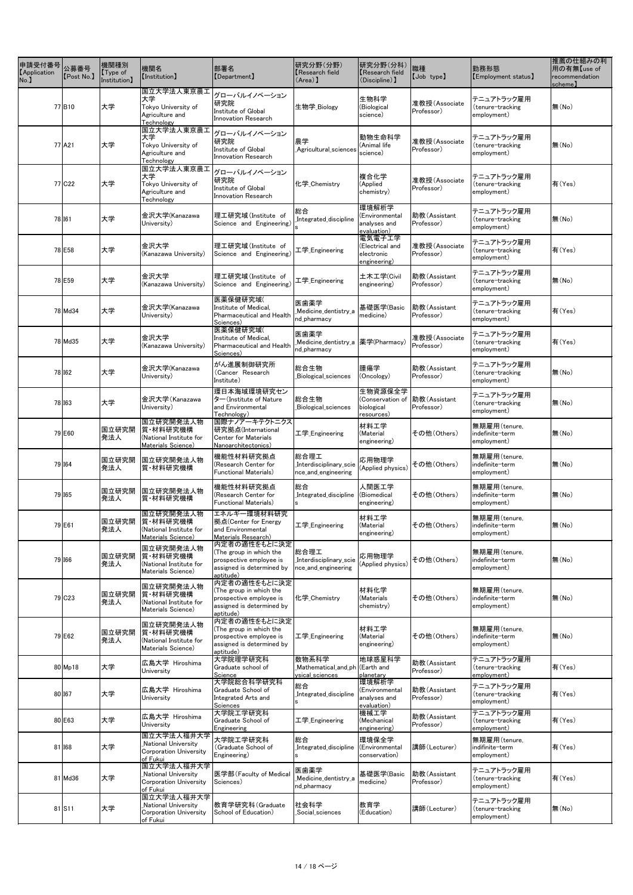| 申請受付番号<br><b>[Application</b><br>No. | 公募番号<br>[Post No.] | 機関種別<br>$\sqrt{\int$ Type of<br>Institution] | 機関名<br><b>【Institution】</b>                                                           | 部署名<br>[Department]                                                                                          | 研究分野(分野)<br><b>Research field</b><br>$(Area)$ ]            | 研究分野(分科)<br>Research field<br>(Discipline) ]            | 職種<br>[Job type]            | 勤務形態<br>[Employment status]                    | 推薦の仕組みの利<br>用の有無【use of<br>recommendation<br>scheme) |
|--------------------------------------|--------------------|----------------------------------------------|---------------------------------------------------------------------------------------|--------------------------------------------------------------------------------------------------------------|------------------------------------------------------------|---------------------------------------------------------|-----------------------------|------------------------------------------------|------------------------------------------------------|
|                                      | 77B10              | 大学                                           | 国立大学法人東京農工<br>大学<br>Tokyo University of<br>Agriculture and<br>Technology              | グローバルイノベーション<br>研究院<br>Institute of Global<br>Innovation Research                                            | 生物学_Biology                                                | 生物科学<br>(Biological<br>science)                         | 准教授(Associate<br>Professor) | テニュアトラック雇用<br>(tenure-tracking<br>employment)  | 無(No)                                                |
|                                      | 77 A21             | 大学                                           | 国立大学法人東京農工<br>大学<br>Tokyo University of<br>Agriculture and<br>Technology              | グローバルイノベーション<br>研究院<br>Institute of Global<br>Innovation Research                                            | 農学<br>Agricultural_sciences_                               | 動物生命科学<br>(Animal life<br>science)                      | 准教授(Associate<br>Professor) | テニュアトラック雇用<br>(tenure-tracking<br>employment)  | 無(No)                                                |
|                                      | 77 C <sub>22</sub> | 大学                                           | 国立大学法人東京農工<br>大学<br>Tokyo University of<br>Agriculture and<br>Technology              | グローバルイノベーション<br>研究院<br>Institute of Global<br><b>Innovation Research</b>                                     | 化学 Chemistry                                               | 複合化学<br>(Applied<br>chemistry)                          | 准教授(Associate<br>Professor) | テニュアトラック雇用<br>(tenure-tracking<br>employment)  | 有(Yes)                                               |
|                                      | 78 I61             | 大学                                           | 金沢大学(Kanazawa<br>University)                                                          | 理工研究域(Institute of<br>Science and Engineering)                                                               | 総合<br>Integrated discipline                                | 環境解析学<br>(Environmental<br>analyses and<br>evaluation)  | 助教(Assistant<br>Professor)  | テニュアトラック雇用<br>(tenure-tracking<br>employment)  | 無(No)                                                |
|                                      | 78 E58             | 大学                                           | 金沢大学<br>(Kanazawa University)                                                         | 理工研究域(Institute of<br>Science and Engineering)                                                               | 工学_Engineering                                             | 電気電子工学<br>(Electrical and<br>electronic<br>engineering) | 准教授(Associate<br>Professor) | テニュアトラック雇用<br>(tenure-tracking<br>employment)  | 有(Yes)                                               |
|                                      | 78 E59             | 大学                                           | 金沢大学<br>(Kanazawa University)                                                         | 理工研究域(Institute of<br>Science and Engineering)                                                               | 工学_Engineering                                             | 土木工学(Civil<br>engineering)                              | 助教(Assistant<br>Professor)  | テニュアトラック雇用<br>(tenure-tracking<br>employment)  | 無(No)                                                |
|                                      | 78 Md34            | 大学                                           | 金沢大学(Kanazawa<br>University)                                                          | 医薬保健研究域(<br>Institute of Medical,<br>Pharmaceutical and Health<br>Sciences)                                  | 医歯薬学<br>Medicine_dentistry_a<br>nd_pharmacy                | 基礎医学(Basic<br>medicine)                                 | 助教(Assistant<br>Professor)  | テニュアトラック雇用<br>(tenure-tracking<br>employment)  | 有(Yes)                                               |
|                                      | 78 Md35            | 大学                                           | 金沢大学<br>(Kanazawa University)                                                         | 医薬保健研究域(<br>Institute of Medical,<br>Pharmaceutical and Health<br>Sciences)                                  | 医歯薬学<br>_Medicine_dentistry_a 本学(Pharmacy)<br>nd_pharmacy  |                                                         | 准教授(Associate<br>Professor) | テニュアトラック雇用<br>(tenure-tracking<br>employment)  | 有(Yes)                                               |
|                                      | 78 162             | 大学                                           | 金沢大学(Kanazawa<br>University)                                                          | がん進展制御研究所<br>(Cancer Research<br>Institute)                                                                  | 総合生物<br>Biological_sciences                                | 腫瘍学<br>(Oncology)                                       | 助教(Assistant<br>Professor)  | テニュアトラック雇用<br>(tenure-tracking<br>employment)  | 無(No)                                                |
|                                      | 78 163             | 大学                                           | 金沢大学(Kanazawa<br>University)                                                          | 環日本海域環境研究セン<br>$\frac{1}{2}$ (Institute of Nature<br>and Environmental<br>Technology)                        | 総合生物<br>Biological_sciences                                | 生物資源保全学<br>(Conservation of<br>biological<br>resources) | 助教(Assistant<br>Professor)  | テニュアトラック雇用<br>(tenure-tracking<br>employment)  | 無(No)                                                |
|                                      | 79 E60             | 国立研究開<br>発法人                                 | 国立研究開発法人物<br>質 材料研究機構<br>(National Institute for<br>Materials Science)                | 国際ナノアーキテクトニクス <br> 研究拠点(International<br><b>Center for Materials</b><br>Nanoarchitectonics)                  | 工学 <sub>_</sub> Engineering                                | 材料工学<br>(Material<br>engineering)                       | その他(Others)                 | 無期雇用(tenure,<br>indefinite-term<br>employment) | 無(No)                                                |
|                                      | 79 164             | 国立研究開<br> 発法人                                | <b>国立研究開発法人物</b><br>質 材料研究機構                                                          | 機能性材料研究拠点<br>(Research Center for<br><b>Functional Materials)</b>                                            | 総合理工<br>Interdisciplinary_scie<br>nce_and_engineering      | 応用物理学<br>(Applied physics)                              | その他(Others)                 | 無期雇用(tenure,<br>indefinite-term<br>employment) | 無(No)                                                |
|                                      | 79 165             | 国立研究開<br>発法人                                 | 国立研究開発法人物<br> 質・材料研究機構                                                                | 機能性材料研究拠点<br>(Research Center for<br>Functional Materials)                                                   | 総合<br>Integrated discipline<br>l S                         | 人間医工学<br>(Biomedical<br>engineering)                    | その他(Others)                 | 無期雇用(tenure,<br>indefinite-term<br>employment) | 無(No)                                                |
|                                      | 79 E61             | 国立研究開<br> 発法人                                | 国立研究開発法人物<br>質·材料研究機構<br>(National Institute for<br>Materials Science)                | エネルギー環境材料研究<br> 拠点(Center for Energy<br>and Environmental<br>Materials Research)                             | 工学 <sub>_</sub> Engineering                                | 材料工学<br>(Material<br>engineering)                       | その他(Others)                 | 無期雇用(tenure,<br>indefinite-term<br>employment) | 無(No)                                                |
|                                      | 79 166             | 国立研究開<br> 発法人                                | 国立研究開発法人物<br>質 材料研究機構<br>(National Institute for<br>Materials Science)                | 内定者の適性をもとに決定<br>(The group in which the<br>prospective employee is<br>assigned is determined by<br>aptitude) | 総合理工<br>Interdisciplinary_scie<br>nce_and_engineering      | 応用物理学<br>(Applied physics)                              | その他(Others)                 | 無期雇用(tenure,<br>indefinite-term<br>employment) | 無(No)                                                |
|                                      | 79 C <sub>23</sub> | 国立研究開<br>発法人                                 | 国立研究開発法人物<br>質 材料研究機構<br>(National Institute for<br>Materials Science)                | 内定者の適性をもとに決定<br>(The group in which the<br>prospective employee is<br>assigned is determined by<br>aptitude) | 化学_Chemistry                                               | 材料化学<br>(Materials<br>chemistry)                        | その他(Others)                 | 無期雇用(tenure,<br>indefinite-term<br>employment) | 無(No)                                                |
|                                      | 79 E62             | 国立研究開<br>発法人                                 | 国立研究開発法人物<br> 質・材料研究機構<br>(National Institute for<br>Materials Science)               | 内定者の適性をもとに決定<br>(The group in which the<br>prospective employee is<br>assigned is determined by<br>aptitude) | 工学 <sub>_</sub> Engineering                                | 材料工学<br>(Material<br>engineering)                       | その他(Others)                 | 無期雇用(tenure,<br>indefinite-term<br>employment) | 無(No)                                                |
|                                      | $80$ Mp18          | 大学                                           | 広島大学 Hiroshima<br>University                                                          | 大学院理学研究科<br>Graduate school of<br>Science                                                                    | 数物系科学<br>Mathematical_and_ph (Earth and<br>ysical_sciences | 地球惑星科学<br>planetary                                     | 助教(Assistant<br>Professor)  | テニュアトラック雇用<br>(tenure-tracking<br>employment)  | 有(Yes)                                               |
|                                      | 80 167             | 大学                                           | 広島大学 Hiroshima<br>University                                                          | 大学院総合科学研究科<br>Graduate School of<br>Integrated Arts and<br>Sciences                                          | 総合<br>Integrated discipline                                | 環境解析学<br>(Environmental<br>analyses and<br>evaluation)  | 助教(Assistant<br>Professor)  | テニュアトラック雇用<br>(tenure-tracking<br>employment)  | 有(Yes)                                               |
|                                      | 80 E63             | 大学                                           | 広島大学 Hiroshima<br>University                                                          | 大学院工学研究科<br>Graduate School of<br>Engineering                                                                | 工学 Engineering                                             | 機械工学<br>(Mechanical<br>engineering)                     | 助教(Assistant<br>Professor)  | テニュアトラック雇用<br>(tenure-tracking<br>employment)  | 有(Yes)                                               |
|                                      | 81 168             | 大学                                           | 国立大学法人福井大学<br><b>National University</b><br><b>Corporation University</b><br>of Fukui | 大学院工学研究科<br>(Graduate School of<br>Engineering)                                                              | 総合<br>Integrated_discipline                                | 環境保全学<br>(Environmental<br>conservation)                | 講師(Lecturer)                | 無期雇用(tenure,<br>indifinite-term<br>employment) | 有(Yes)                                               |
|                                      | 81 Md36            | 大学                                           | 国立大学法人福井大学<br>National University<br><b>Corporation University</b><br>of Fukui        | 医学部(Faculty of Medical<br>Sciences)                                                                          | 医歯薬学<br>Medicine dentistry a<br>nd_pharmacy                | 基礎医学(Basic<br>medicine)                                 | 助教(Assistant<br>Professor)  | テニュアトラック雇用<br>(tenure-tracking<br>employment)  | 有(Yes)                                               |
|                                      | 81 S11             | 大学                                           | 国立大学法人福井大学<br>National University<br>Corporation University<br>of Fukui               | 教育学研究科(Graduate<br>School of Education)                                                                      | 社会科学<br>_Social_sciences                                   | 教育学<br>(Education)                                      | 講師(Lecturer)                | テニュアトラック雇用<br>(tenure-tracking<br>employment)  | 無(No)                                                |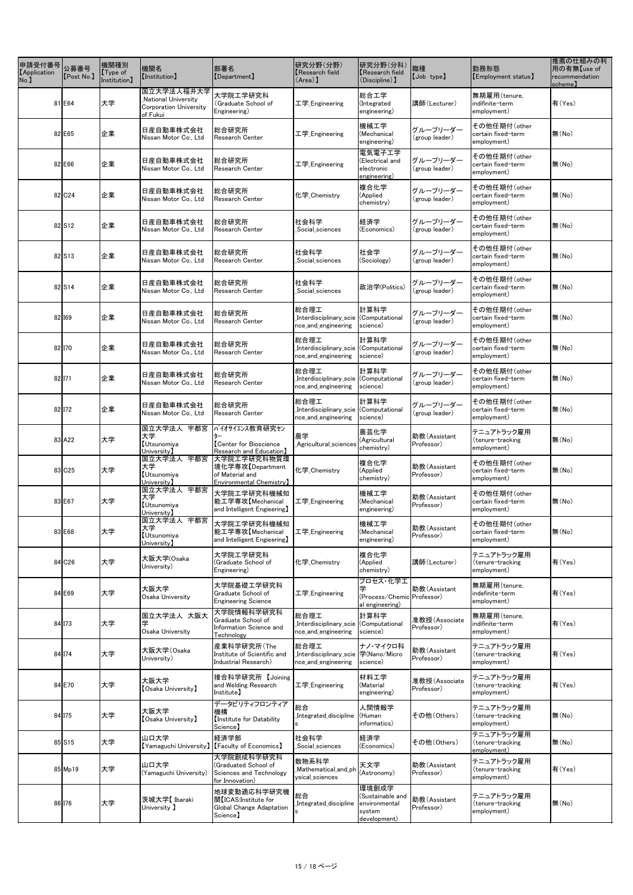| 申請受付番号<br>【Application 】 A募番号<br>No. | [Post No.] | 機関種別<br>$\sqrt{\int$ Type of<br>Institution] | 機関名<br><b>[Institution]</b>                                                    | 部署名<br>[Department]                                                                     | 研究分野(分野)<br><b>K</b> esearch field<br>$(\text{Area})$                  | 研究分野(分科)<br>Research field<br>(Discipline) ]                         | 職種<br>[Job type]            | 勤務形態<br>[Employment status]                       | 推薦の仕組みの利<br>用の有無【use of<br>recommendation<br>scheme) |
|--------------------------------------|------------|----------------------------------------------|--------------------------------------------------------------------------------|-----------------------------------------------------------------------------------------|------------------------------------------------------------------------|----------------------------------------------------------------------|-----------------------------|---------------------------------------------------|------------------------------------------------------|
|                                      | 81 E64     | 大学                                           | 国立大学法人福井大学<br>National University<br><b>Corporation University</b><br>of Fukui | 大学院工学研究科<br>(Graduate School of<br>Engineering)                                         | 工学_Engineering                                                         | 総合工学<br>(Integrated<br>engineering)                                  | 講師(Lecturer)                | 無期雇用(tenure,<br>indifinite-term<br>employment)    | 有(Yes)                                               |
|                                      | 82 E65     | 企業                                           | 日産自動車株式会社<br>Nissan Motor Co., Ltd                                             | 総合研究所<br>Research Center                                                                | 工学 Engineering                                                         | 機械工学<br>(Mechanical<br>engineering)                                  | グループリーダー<br>(group leader)  | その他任期付(other<br>certain fixed-term<br>employment) | 無(No)                                                |
|                                      | 82 E66     | 企業                                           | 日産自動車株式会社<br>Nissan Motor Co., Ltd                                             | 総合研究所<br>Research Center                                                                | 工学 <sub>_</sub> Engineering                                            | 電気電子工学<br>(Electrical and<br>electronic<br>engineering)              | グループリーダー<br>(group leader)  | その他任期付(other<br>certain fixed-term<br>employment) | 無(No)                                                |
|                                      | 82 C24     | 企業                                           | 日産自動車株式会社<br>Nissan Motor Co., Ltd                                             | 総合研究所<br>Research Center                                                                | 化学 Chemistry                                                           | 複合化学<br>(Applied<br>chemistry)                                       | グループリーダー<br>(group leader)  | その他任期付(other<br>certain fixed-term<br>employment) | 無(No)                                                |
|                                      | 82S12      | 企業                                           | 日産自動車株式会社<br>Nissan Motor Co., Ltd                                             | 総合研究所<br>Research Center                                                                | 社会科学<br>Social_sciences                                                | 経済学<br>(Economics)                                                   | グループリーダー<br>(group leader)  | その他任期付(other<br>certain fixed-term<br>employment) | 無(No)                                                |
|                                      | 82 S13     | 企業                                           | 日産自動車株式会社<br>Nissan Motor Co., Ltd                                             | 総合研究所<br>Research Center                                                                | 社会科学<br>Social_sciences_                                               | 社会学<br>(Sociology)                                                   | グループリーダー<br>(group leader)  | その他任期付(other<br>certain fixed-term<br>employment) | 無(No)                                                |
|                                      | 82S14      | 企業                                           | 日産自動車株式会社<br>Nissan Motor Co., Ltd                                             | 総合研究所<br><b>Research Center</b>                                                         | 社会科学<br>Social_sciences_                                               | 政治学(Politics)                                                        | グループリーダー<br>(group leader)  | その他任期付(other<br>certain fixed-term<br>employment) | 無(No)                                                |
|                                      | 82 169     | 企業                                           | 日産自動車株式会社<br>Nissan Motor Co., Ltd                                             | 総合研究所<br>Research Center                                                                | 総合理工<br>Interdisciplinary_scie<br>nce_and_engineering                  | 計算科学<br>(Computational<br>science)                                   | グループリーダー<br>(group leader)  | その他任期付(other<br>certain fixed-term<br>employment) | 無(No)                                                |
|                                      | 82 170     | 企業                                           | 日産自動車株式会社<br>Nissan Motor Co., Ltd                                             | 総合研究所<br>Research Center                                                                | 総合理工<br>Interdisciplinary_scie<br>nce_and_engineering                  | 計算科学<br>(Computational<br>science)                                   | グループリーダー<br>(group leader)  | その他任期付(other<br>certain fixed-term<br>employment) | 無(No)                                                |
|                                      | $82$ I71   | 企業                                           | 日産自動車株式会社<br>Nissan Motor Co., Ltd                                             | 総合研究所<br><b>Research Center</b>                                                         | 総合理工<br>Interdisciplinary_scie  (Computational_<br>nce_and_engineering | 計算科学<br>science)                                                     | グループリーダー<br>(group leader)  | その他任期付(other<br>certain fixed-term<br>employment) | 無(No)                                                |
|                                      | 82 172     | 企業                                           | 日産自動車株式会社<br>Nissan Motor Co., Ltd                                             | 総合研究所<br><b>Research Center</b>                                                         | 総合理工<br>Interdisciplinary_scie (Computational<br>nce_and_engineering   | 計算科学<br>science)                                                     | グループリーダー<br>(group leader)  | その他任期付(other<br>certain fixed-term<br>employment) | 無(No)                                                |
|                                      | 83 A22     | 大学                                           | 国立大学法人 宇都宮<br>大学<br><b>Utsunomiya</b><br>University $\bf{l}$                   | バイオサイエンス教育研究セン<br><b>[Center for Bioscience</b><br>Research and Education】              | 農学<br>Agricultural_sciences                                            | 農芸化学<br>(Agricultural<br>chemistry)                                  | 助教(Assistant<br>Professor)  | テニュアトラック雇用<br>(tenure-tracking<br>employment)     | 無(No)                                                |
|                                      | 83 C25     | 大学                                           | 国立大学法人 宇都宮<br>大学<br><b>Utsunomiya</b><br>University】                           | 大学院工学研究科物質環<br> 境化学専攻【Department<br>of Material and<br>Environmental Chemistry          | 化学_Chemistry                                                           | 複合化学<br>(Applied<br>chemistry)                                       | 助教(Assistant<br>Professor)  | その他任期付(other<br>certain fixed-term<br>employment) | 無(No)                                                |
|                                      | 83 E67     | 大学                                           | 国立大学法人 宇都宮<br>大学<br><b>Utsunomiya</b><br>University】                           | 大学院工学研究科機械知<br>能工学専攻【Mechanical<br>and Intelligent Engieering]                          | 工学_Engineering                                                         | 機械工学<br>(Mechanical<br>engineering)                                  | 助教(Assistant<br>Professor)  | その他任期付(other<br>certain fixed-term<br>employment) | 無(No)                                                |
|                                      | 83 E68     | 大学                                           | 国立大学法人 宇都宮<br>大学<br><b>Utsunomiya</b><br>University】                           | 大学院工学研究科機械知<br>能工学専攻【Mechanical<br>and Intelligent Engieering]                          | 工学 Engineering                                                         | 機械工学<br>(Mechanical<br>engineering)                                  | 助教(Assistant<br>Professor)  | その他任期付(other<br>certain fixed-term<br>employment) | 無(No)                                                |
|                                      | 84 C26     | 大学                                           | 大阪大学(Osaka<br>University)                                                      | 大学院工学研究科<br>(Graduate School of<br>Engineering)                                         | 化学_Chemistry                                                           | 複合化学<br>(Applied<br>chemistry)                                       | 講師(Lecturer)                | テニュアトラック雇用<br>(tenure-tracking<br>employment)     | 有(Yes)                                               |
|                                      | 84 E69     | 大学                                           | 大阪大学<br>Osaka University                                                       | 大学院基礎工学研究科<br>Graduate School of<br><b>Engineering Science</b>                          | 工学 Engineering                                                         | プロセス・化学工<br>(Process/Chemic Professor)<br>al engineering)            | 助教(Assistant                | 無期雇用(tenure,<br>indefinite-term<br>employment)    | 有(Yes)                                               |
|                                      | 84 173     | 大学                                           | 国立大学法人 大阪大<br>学<br>Osaka University                                            | 大学院情報科学研究科<br>Graduate School of<br>Information Science and<br>Technology               | 総合理工<br>Interdisciplinary_scie (Computational<br>nce_and_engineering   | 計算科学<br>science)                                                     | 准教授(Associate<br>Professor) | 無期雇用(tenure,<br>indifinite-term<br>employment)    | 有(Yes)                                               |
|                                      | 84 174     | 大学                                           | 大阪大学(Osaka<br>University)                                                      | 産業科学研究所(The<br>Institute of Scientific and<br>Industrial Research)                      | 総合理工<br>_Interdisciplinary_scie  学(Nano/Micro<br>nce_and_engineering   | ナノ・マイクロ科<br>science)                                                 | 助教(Assistant<br>Professor)  | テニュアトラック雇用<br>(tenure-tracking<br>employment)     | 有(Yes)                                               |
|                                      | 84 E70     | 大学                                           | 大阪大学<br><b>【Osaka University】</b>                                              | 接合科学研究所 【Joining<br>and Welding Research<br>Institute】                                  | 工学_Engineering                                                         | 材料工学<br>(Material<br>engineering)                                    | 准教授(Associate<br>Professor) | テニュアトラック雇用<br>(tenure-tracking<br>employment)     | 有(Yes)                                               |
|                                      | 84 175     | 大学                                           | 大阪大学<br><b>【Osaka University】</b>                                              | データビリティフロンティア<br>機構<br>Institute for Datability<br>Science)                             | 総合<br>Integrated_discipline                                            | 人間情報学<br>(Human<br>informatics)                                      | その他(Others)                 | テニュアトラック雇用<br>(tenure-tracking<br>employment)     | 無(No)                                                |
|                                      | 85 S15     | 大学                                           | 山口大学<br>[Yamaguchi University]   [Faculty of Economics]                        | 経済学部                                                                                    | 社会科学<br>Social_sciences                                                | 経済学<br>(Economics)                                                   | その他(Others)                 | テニュアトラック雇用<br>(tenure-tracking<br>employment)     | 無(No)                                                |
|                                      | $85$ Mp19  | 大学                                           | 山口大学<br>(Yamaguchi University)                                                 | 大学院創成科学研究科<br>(Graduated School of<br>Sciences and Technology<br>for Innovation)        | 数物系科学<br>Mathematical_and_ph<br>ysical_sciences                        | 天文学<br>(Astronomy)                                                   | 助教(Assistant<br>Professor)  | テニュアトラック雇用<br>(tenure-tracking<br>employment)     | 有(Yes)                                               |
|                                      | 86 176     | 大学                                           | 茨城大学【Ibaraki<br>University 】                                                   | 地球変動適応科学研究機<br>関【ICAS:Institute for<br>Global Change Adaptation<br>Science <sub>1</sub> | 総合<br>Integrated_discipline                                            | 環境創成学<br>(Sustainable and<br>environmental<br>system<br>development) | 助教(Assistant<br>Professor)  | テニュアトラック雇用<br>(tenure-tracking<br>employment)     | 無(No)                                                |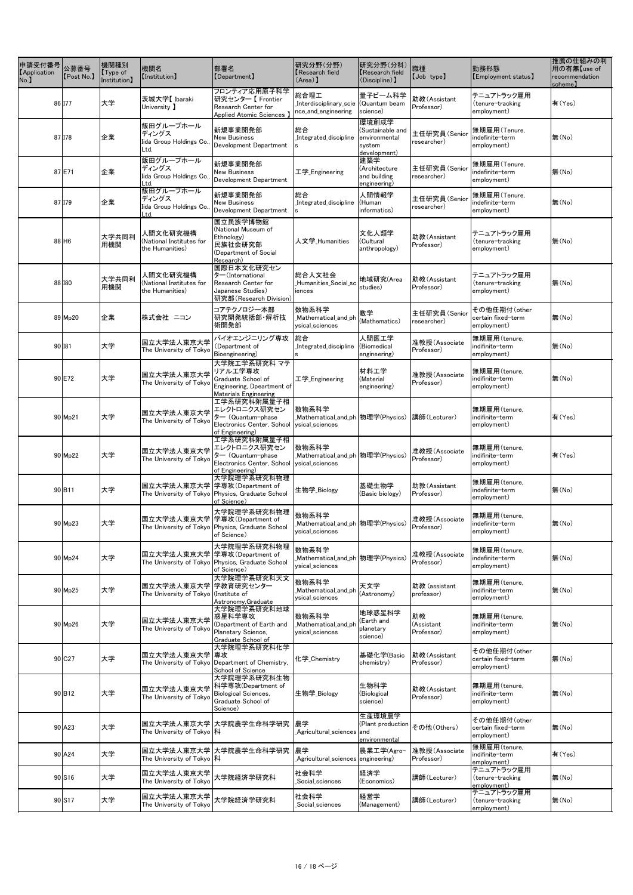| —<br>申請受付番号<br>【Application<br>No. | 公募番号<br>[Post No.]  | 機関種別<br>$\sqrt{\text{Type of}}$<br>Institution] | 機関名<br><b>[Institution]</b>                                           | 部署名<br>[Department]                                                                                              | 研究分野(分野)<br>Kesearch field<br>$(\text{Area})$                       | 研究分野(分科)<br><b>Research field</b><br>(Discipline) ]                  | 職種<br>[Job type]               | 勤務形態<br>[Employment status]                       | 推薦の仕組みの利<br>用の有無【use of<br>recommendation<br>scheme) |
|------------------------------------|---------------------|-------------------------------------------------|-----------------------------------------------------------------------|------------------------------------------------------------------------------------------------------------------|---------------------------------------------------------------------|----------------------------------------------------------------------|--------------------------------|---------------------------------------------------|------------------------------------------------------|
|                                    | 86 177              | 大学                                              | 茨城大学【Ibaraki<br>University 】                                          | フロンティア応用原子科学<br> 研究センター【 Frontier<br>Research Center for<br>Applied Atomic Sciences 】                            | 総合理工<br>Interdisciplinary_scie (Quantum beam<br>nce_and_engineering | 量子ビーム科学<br>science)                                                  | 助教(Assistant<br>Professor)     | テニュアトラック雇用<br>(tenure-tracking<br>employment)     | 有(Yes)                                               |
|                                    | 87 178              | 企業                                              | 飯田グループホール<br>ディングス<br>Iida Group Holdings Co.,<br>Ltd.                | 新規事業開発部<br><b>New Business</b><br>Development Department                                                         | 総合<br>Integrated_discipline                                         | 環境創成学<br>(Sustainable and<br>environmental<br>system<br>development) | 主任研究員(Senior<br>researcher)    | 無期雇用(Tenure,<br>indefinite-term<br>employment)    | 無(No)                                                |
|                                    | 87 E71              | 企業                                              | 飯田グループホール<br>ディングス<br>Iida Group Holdings Co.,<br>Ltd.                | 新規事業開発部<br><b>New Business</b><br>Development Department                                                         | 工学 Engineering                                                      | 建築学<br>(Architecture<br>and building<br>engineering)                 | 主任研究員(Senior<br>researcher)    | 無期雇用(Tenure,<br>indefinite-term<br>employment)    | 無(No)                                                |
|                                    | 87 179              | 企業                                              | 飯田グループホール<br>ディングス<br>Iida Group Holdings Co.,<br>Ltd.                | 新規事業開発部<br><b>New Business</b><br>Development Department                                                         | 総合<br>Integrated discipline<br>l S                                  | 人間情報学<br>(Human<br>informatics)                                      | 主任研究員(Senior<br>researcher)    | 無期雇用(Tenure,<br>indefinite-term<br>employment)    | 無(No)                                                |
|                                    | $88$ H <sub>6</sub> | 大学共同利<br>用機関                                    | 人間文化研究機構<br>(National Institutes for<br>the Humanities)               | 国立民族学博物館<br>(National Museum of<br>Ethnology)<br>民族社会研究部<br>(Department of Social<br>Research)                   | 人文学_Humanities                                                      | 文化人類学<br>(Cultural<br>anthropology)                                  | 助教(Assistant<br>Professor)     | テニュアトラック雇用<br>(tenure-tracking<br>employment)     | 無(No)                                                |
|                                    | 88 180              | 大学共同利<br>用機関                                    | 人間文化研究機構<br>(National Institutes for<br>the Humanities)               | 国際日本文化研究セン<br>$\frac{1}{2}$ (International<br>Research Center for<br>Japanese Studies)<br>研究部(Research Division) | 総合人文社会<br>Humanities_Social_sc<br>iences                            | 地域研究(Area<br>studies)                                                | 助教(Assistant<br>Professor)     | テニュアトラック雇用<br>(tenure-tracking<br>employment)     | 無(No)                                                |
|                                    | 89 Mp20             | 企業                                              | 株式会社 ニコン                                                              | コアテクノロジー本部<br> 研究開発統括部・解析技<br>術開発部                                                                               | 数物系科学<br>Mathematical_and_ph<br>ysical_sciences                     | 数学<br>(Mathematics)                                                  | 主任研究員(Senior<br>researcher)    | その他任期付(other<br>certain fixed-term<br>employment) | 無(No)                                                |
|                                    | 90 181              | 大学                                              | 国立大学法人東京大学<br>The University of Tokyo                                 | バイオエンジニリング専攻<br>(Department of<br>Bioengineering)                                                                | 総合<br>Integrated_discipline                                         | 人間医工学<br>(Biomedical<br>engineering)                                 | 准教授(Associate<br>Professor)    | 無期雇用(tenure,<br>indifinite-term<br>employment)    | 無(No)                                                |
|                                    | 90 E72              | 大学                                              | 国立大学法人東京大学<br>The University of Tokyo                                 | 大学院工学系研究科 マテ<br>リアルエ学専攻<br>Graduate School of<br>Engineering, Dpeartment of<br><b>Materials Engineering</b>      | 工学 <sub>_</sub> Engineering                                         | 材料工学<br>(Material<br>engineering)                                    | 准教授(Associate<br>Professor)    | 無期雇用(tenure,<br>indifinite-term<br>employment)    | 無(No)                                                |
|                                    | 90 Mp21             | 大学                                              | 国立大学法人東京大学<br>The University of Tokyo                                 | 工学系研究科附属量子相<br>エレクトロニクス研究セン<br>ター (Quantum-phase<br>Electronics Center, School<br>of Engineering)                | 数物系科学<br>_Mathematical_and_ph  物理学(Physics)<br>ysical_sciences      |                                                                      | 講師(Lecturer)                   | 無期雇用(tenure,<br>indifinite-term<br>employment)    | 有(Yes)                                               |
|                                    | 90 Mp22             | 大学                                              | 国立大学法人東京大学<br>The University of Tokyo                                 | 工学系研究科附属量子相<br>エレクトロニクス研究セン<br>ター (Quantum-phase<br>Electronics Center, School<br>of Engineering)                | 数物系科学<br>ysical_sciences                                            |                                                                      | 准教授(Associate<br>Professor)    | 無期雇用(tenure,<br>indifinite-term<br>employment)    | 有(Yes)                                               |
|                                    | 90 B11              | 大学                                              | 国立大学法人東京大学 学専攻(Department of                                          | 大学院理学系研究科物理<br>The University of Tokyo Physics, Graduate School<br>of Science)                                   | 生物学_Biology                                                         | 基礎生物学<br>(Basic biology)                                             | 助教(Assistant<br>Professor)     | 無期雇用(tenure,<br>indefinite-term<br>employment)    | 無(No)                                                |
|                                    | $90$ Mp23           | 大学                                              | 国立大学法人東京大学 学専攻(Department of                                          | 大学院理学系研究科物理<br>The University of Tokyo Physics, Graduate School<br>of Science)                                   | 数物系科学<br>ysical_sciences                                            |                                                                      | 准教授(Associate<br>Professor)    | 無期雇用(tenure,<br>indefinite-term<br>employment)    | 無(No)                                                |
|                                    | 90 Mp24             | 大学                                              | 国立大学法人東京大学 学専攻(Department of                                          | 大学院理学系研究科物理<br>The University of Tokyo Physics, Graduate School<br>of Science)                                   | 数物系科学<br>ysical_sciences                                            |                                                                      | 准教授(Associate<br>Professor)    | 無期雇用(tenure,<br>indefinite-term<br>employment)    | 無(No)                                                |
|                                    | 90 Mp25             | 大学                                              | 国立大学法人東京大学 学教育研究センター<br>The University of Tokyo (Institute of         | 大学院理学系研究科天文<br>Astronomy, Graduate                                                                               | 数物系科学<br>Mathematical_and_ph<br>ysical_sciences                     | 天文学<br>(Astronomy)                                                   | 助教 (assistant<br>professor)    | 無期雇用(tenure,<br>indifinite-term<br>employment)    | 無(No)                                                |
|                                    | 90 Mp26             | 大学                                              | 国立大学法人東京大学   惑星科学専攻 <br> The United States<br>The University of Tokyo | 大学院理学系研究科地球<br>(Department of Earth and<br>Planetary Science,<br>Graduate School of                              | 数物系科学<br>_Mathematical_and_ph<br>ysical_sciences                    | 地球惑星科学<br>(Earth and<br>planetary<br>science)                        | 助教<br>(Assistant<br>Professor) | 無期雇用(tenure,<br>indifinite-term<br>employment)    | 無(No)                                                |
|                                    | 90 C27              | 大学                                              | 国立大学法人東京大学  専攻                                                        | 大学院理学系研究科化学<br>The University of Tokyo Department of Chemistry,<br>School of Science                             | 化学_Chemistry                                                        | 基礎化学(Basic<br>chemistry)                                             | 助教(Assistant<br>Professor)     | その他任期付(other<br>certain fixed-term<br>employment) | 無(No)                                                |
|                                    | 90 B <sub>12</sub>  | 大学                                              | 国立大学法人東京大学<br>The University of Tokyo                                 | 大学院理学系研究科生物<br>科学専攻(Department of<br><b>Biological Sciences,</b><br>Graduate School of<br>Science)               | 生物学_Biology                                                         | 生物科学<br>(Biological<br>science)                                      | 助教(Assistant<br>Professor)     | 無期雇用(tenure,<br>indifinite-term<br>employment)    | 無(No)                                                |
|                                    | 90 A23              | 大学                                              | The University of Tokyo  科                                            | 国立大学法人東京大学 大学院農学生命科学研究  農学                                                                                       | Agricultural_sciences and                                           | 生産環境農学<br>(Plant production<br>environmental                         | その他(Others)                    | その他任期付(other<br>certain fixed-term<br>employment) | 無(No)                                                |
|                                    | 90 A24              | 大学                                              | The University of Tokyo  科                                            | 国立大学法人東京大学 大学院農学生命科学研究                                                                                           | 農学<br>Agricultural sciences engineering)                            | 農業工学(Agro−                                                           | 准教授(Associate<br>Professor)    | 無期雇用(tenure,<br>indifinite-term<br>employment)    | 有(Yes)                                               |
|                                    | 90 S16              | 大学                                              | 国立大学法人東京大学<br>The University of Tokyo                                 | 大学院経済学研究科                                                                                                        | 社会科学 <br>Social_sciences                                            | 経済学<br>(Economics)                                                   | 講師(Lecturer)                   | テニュアトラック雇用<br>(tenure-tracking<br>employment)     | 無(No)                                                |
|                                    | 90 S17              | 大学                                              | 国立大学法人東京大学<br>The University of Tokyo                                 | 大学院経済学研究科                                                                                                        | 社会科学<br>_Social_sciences                                            | 経営学<br>(Management)                                                  | 講師(Lecturer)                   | テニュアトラック雇用<br>(tenure-tracking<br>employment)     | 無(No)                                                |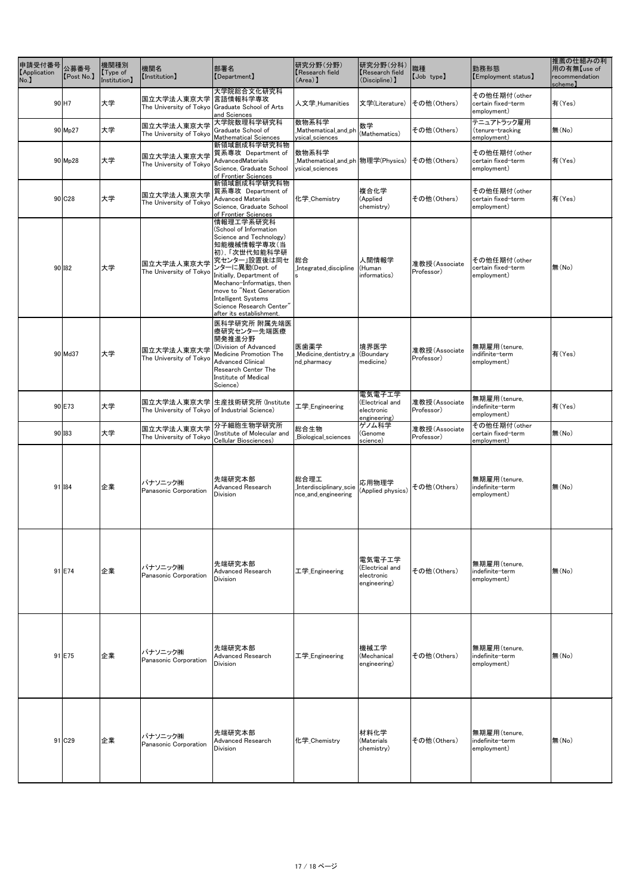| 申請受付番号<br><b>[Application</b><br>No. | 公募番号<br>[Post No.]  | 機関種別<br>Type of<br>Institution] | 機関名<br>[Institution]                           | 部署名<br>[Department]                                                                                                                                                                                                                                                                                         | 研究分野(分野)<br>Research field<br>(Area)                          | 研究分野(分科)<br>Research field<br>(Discipline) 】            | 職種<br>[Job type]            | 勤務形態<br>[Employment status]                       | 推薦の仕組みの利<br>用の有無【use of<br>recommendation<br>scheme) |
|--------------------------------------|---------------------|---------------------------------|------------------------------------------------|-------------------------------------------------------------------------------------------------------------------------------------------------------------------------------------------------------------------------------------------------------------------------------------------------------------|---------------------------------------------------------------|---------------------------------------------------------|-----------------------------|---------------------------------------------------|------------------------------------------------------|
|                                      | $90$ H <sub>7</sub> | 大学                              | 国立大学法人東京大学                                     | 大学院総合文化研究科<br> 言語情報科学専攻<br>The University of Tokyo Graduate School of Arts<br>and Sciences                                                                                                                                                                                                                  | 人文学_Humanities                                                | 文学(Literature)                                          | その他(Others)                 | その他任期付(other<br>certain fixed-term<br>employment) | 有(Yes)                                               |
|                                      | 90 Mp27             | 大学                              | 国立大学法人東京大学<br>The University of Tokyo          | 大学院数理科学研究科<br>Graduate School of<br><b>Mathematical Sciences</b>                                                                                                                                                                                                                                            | 数物系科学<br>Mathematical_and_ph<br>ysical_sciences               | 数学<br>(Mathematics)                                     | その他(Others)                 | テニュアトラック雇用<br>(tenure-tracking<br>employment)     | 無(No)                                                |
|                                      | $90$ Mp28           | 大学                              | 国立大学法人東京大学<br>The University of Tokyo          | 新領域創成科学研究科物<br>質系専攻 Department of<br>AdvancedMaterials<br>Science, Graduate School<br>of Frontier Sciences                                                                                                                                                                                                  | 数物系科学<br>_Mathematical_and_ph 物理学(Physics)<br>ysical_sciences |                                                         | その他(Others)                 | その他任期付(other<br>certain fixed-term<br>employment) | 有(Yes)                                               |
|                                      | 90 C <sub>28</sub>  | 大学                              | 国立大学法人東京大学<br>The University of Tokyo          | <b> 新領域創成科学研究科物</b><br>質系専攻 Department of<br><b>Advanced Materials</b><br>Science, Graduate School<br>of Frontier Sciences                                                                                                                                                                                  | 化学_Chemistry                                                  | 複合化学<br>(Applied<br>chemistry)                          | その他(Others)                 | その他任期付(other<br>certain fixed-term<br>employment) | 有(Yes)                                               |
|                                      | 90 182              | 大学                              | 国立大学法人東京大学<br>The University of Tokyo          | 情報理工学系研究科<br>(School of Information<br>Science and Technology)<br>知能機械情報学専攻(当<br>初),「次世代知能科学研<br>究センター」設置後は同セ<br>ンターに異動(Dept. of<br>Initially, Department of<br>Mechano-Informatigs, then<br>move to "Next Generation<br><b>Intelligent Systems</b><br>Science Research Center"<br>after its establishment. | 総合<br>Integrated_discipline                                   | 人間情報学<br>(Human<br>informatics)                         | 准教授(Associate<br>Professor) | その他任期付(other<br>certain fixed-term<br>employment) | 無(No)                                                |
|                                      | 90 Md37             | 大学                              | 国立大学法人東京大学<br>The University of Tokyo          | 医科学研究所 附属先端医<br> 療研究センター先端医療<br>開発推進分野<br>(Division of Advanced<br><b>Medicine Promotion The</b><br><b>Advanced Clinical</b><br>Research Center The<br>Institute of Medical<br>Science)                                                                                                                     | 医歯薬学<br>_Medicine_dentistry_a<br>nd_pharmacy                  | 境界医学<br>(Boundary<br>medicine)                          | 准教授(Associate<br>Professor) | 無期雇用(tenure,<br>indifinite-term<br>employment)    | 有(Yes)                                               |
|                                      | 90 E73              | 大学                              | The University of Tokyo of Industrial Science) | 国立大学法人東京大学 生産技術研究所 (Institute                                                                                                                                                                                                                                                                               | 工学 <sub>_</sub> Engineering                                   | 電気電子工学<br>(Electrical and<br>electronic<br>engineering) | 准教授(Associate<br>Professor) | 無期雇用(tenure,<br>indefinite-term<br>employment)    | 有(Yes)                                               |
|                                      | 90 183              | 大学                              | 国立大学法人東京大学<br>The University of Tokyo          | 分子細胞生物学研究所<br>Institute of Molecular and<br>Cellular Biosciences)                                                                                                                                                                                                                                           | 総合生物<br>_Biological_sciences                                  | ゲノム科学<br>(Genome<br>science)                            | 准教授(Associate<br>Professor) | その他任期付(other<br>certain fixed-term<br>employment) | 無(No)                                                |
|                                      | 91 I84              | 企業                              | パナソニック㈱<br>Panasonic Corporation               | 先端研究本部<br>Advanced Research<br><b>Division</b>                                                                                                                                                                                                                                                              | 総合理工<br>Interdisciplinary_scie<br>nce_and_engineering         | 応用物理学<br>(Applied physics)                              | その他(Others)                 | 無期雇用(tenure,<br>indefinite-term<br>employment)    | 無(No)                                                |
|                                      | 91 E74              | 企業                              | パナソニック(株)<br>Panasonic Corporation             | 先端研究本部<br><b>Advanced Research</b><br>Division                                                                                                                                                                                                                                                              | 工学_Engineering                                                | 電気電子工学<br>(Electrical and<br>electronic<br>engineering) | その他(Others)                 | 無期雇用(tenure,<br>indefinite-term<br>employment)    | 無(No)                                                |
|                                      | $91$ E75            | 企業                              | パナソニック(株)<br>Panasonic Corporation             | 先端研究本部<br><b>Advanced Research</b><br><b>Division</b>                                                                                                                                                                                                                                                       | 工学_Engineering                                                | 機械工学<br>(Mechanical<br>engineering)                     | その他(Others)                 | 無期雇用(tenure,<br>indefinite-term<br>employment)    | 無(No)                                                |
|                                      | 91 C29              | 企業                              | パナソニック㈱<br>Panasonic Corporation               | 先端研究本部<br><b>Advanced Research</b><br>Division                                                                                                                                                                                                                                                              | 化学_Chemistry                                                  | 材料化学<br>(Materials<br>chemistry)                        | その他(Others)                 | 無期雇用(tenure,<br>indefinite-term<br>employment)    | 無(No)                                                |